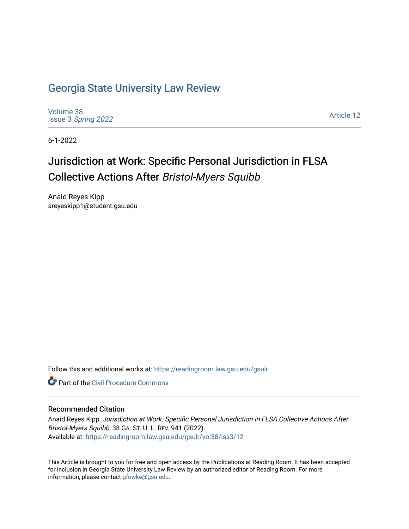# [Georgia State University Law Review](https://readingroom.law.gsu.edu/gsulr)

[Volume 38](https://readingroom.law.gsu.edu/gsulr/vol38) Issue 3 [Spring 2022](https://readingroom.law.gsu.edu/gsulr/vol38/iss3) 

[Article 12](https://readingroom.law.gsu.edu/gsulr/vol38/iss3/12) 

6-1-2022

# Jurisdiction at Work: Specific Personal Jurisdiction in FLSA Collective Actions After Bristol-Myers Squibb

Anaid Reyes Kipp areyeskipp1@student.gsu.edu

Follow this and additional works at: [https://readingroom.law.gsu.edu/gsulr](https://readingroom.law.gsu.edu/gsulr?utm_source=readingroom.law.gsu.edu%2Fgsulr%2Fvol38%2Fiss3%2F12&utm_medium=PDF&utm_campaign=PDFCoverPages) 

**C** Part of the Civil Procedure Commons

### Recommended Citation

Anaid Reyes Kipp, Jurisdiction at Work: Specific Personal Jurisdiction in FLSA Collective Actions After Bristol-Myers Squibb, 38 GA. ST. U. L. REV. 941 (2022). Available at: [https://readingroom.law.gsu.edu/gsulr/vol38/iss3/12](https://readingroom.law.gsu.edu/gsulr/vol38/iss3/12?utm_source=readingroom.law.gsu.edu%2Fgsulr%2Fvol38%2Fiss3%2F12&utm_medium=PDF&utm_campaign=PDFCoverPages) 

This Article is brought to you for free and open access by the Publications at Reading Room. It has been accepted for inclusion in Georgia State University Law Review by an authorized editor of Reading Room. For more information, please contact [gfowke@gsu.edu.](mailto:gfowke@gsu.edu)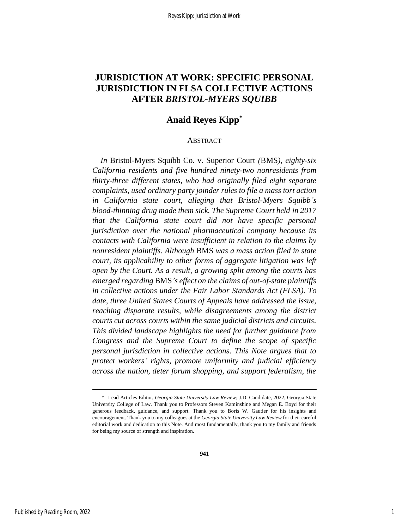## **JURISDICTION AT WORK: SPECIFIC PERSONAL JURISDICTION IN FLSA COLLECTIVE ACTIONS AFTER** *BRISTOL-MYERS SQUIBB*

### **Anaid Reyes Kipp\***

### ABSTRACT

*In* Bristol-Myers Squibb Co. v. Superior Court *(*BMS*), eighty-six California residents and five hundred ninety-two nonresidents from thirty-three different states, who had originally filed eight separate complaints, used ordinary party joinder rules to file a mass tort action in California state court, alleging that Bristol-Myers Squibb's blood-thinning drug made them sick. The Supreme Court held in 2017 that the California state court did not have specific personal jurisdiction over the national pharmaceutical company because its contacts with California were insufficient in relation to the claims by nonresident plaintiffs. Although* BMS *was a mass action filed in state court, its applicability to other forms of aggregate litigation was left open by the Court. As a result, a growing split among the courts has emerged regarding* BMS*'s effect on the claims of out-of-state plaintiffs in collective actions under the Fair Labor Standards Act (FLSA). To date, three United States Courts of Appeals have addressed the issue, reaching disparate results, while disagreements among the district courts cut across courts within the same judicial districts and circuits. This divided landscape highlights the need for further guidance from Congress and the Supreme Court to define the scope of specific personal jurisdiction in collective actions. This Note argues that to protect workers' rights, promote uniformity and judicial efficiency across the nation, deter forum shopping, and support federalism, the* 

<sup>\*</sup> Lead Articles Editor, *Georgia State University Law Review*; J.D. Candidate, 2022, Georgia State University College of Law. Thank you to Professors Steven Kaminshine and Megan E. Boyd for their generous feedback, guidance, and support. Thank you to Boris W. Gautier for his insights and encouragement. Thank you to my colleagues at the *Georgia State University Law Review* for their careful editorial work and dedication to this Note. And most fundamentally, thank you to my family and friends for being my source of strength and inspiration.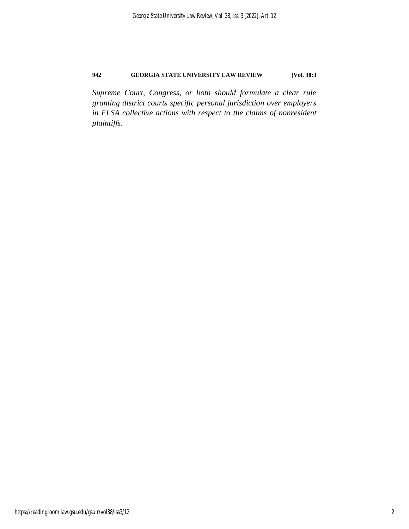*Supreme Court, Congress, or both should formulate a clear rule granting district courts specific personal jurisdiction over employers in FLSA collective actions with respect to the claims of nonresident plaintiffs.*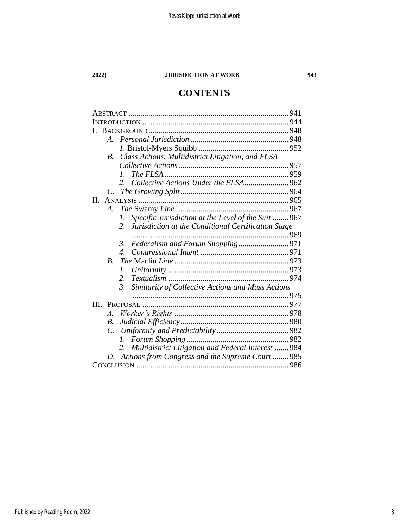# **CONTENTS**

| $A_{\cdot}$    |                                                                       |  |
|----------------|-----------------------------------------------------------------------|--|
|                |                                                                       |  |
| <i>B</i> .     | Class Actions, Multidistrict Litigation, and FLSA                     |  |
|                |                                                                       |  |
|                | $\mathcal{I}$ .                                                       |  |
|                |                                                                       |  |
|                |                                                                       |  |
| $\Pi$ .        |                                                                       |  |
| A.             |                                                                       |  |
|                | Specific Jurisdiction at the Level of the Suit  967<br>I.             |  |
|                | Jurisdiction at the Conditional Certification Stage<br>2.             |  |
|                |                                                                       |  |
|                | 3.                                                                    |  |
|                | 4.                                                                    |  |
| $\bm{B}$       |                                                                       |  |
|                | 1.                                                                    |  |
|                | 2.                                                                    |  |
|                | $\mathfrak{Z}$ .<br>Similarity of Collective Actions and Mass Actions |  |
|                |                                                                       |  |
| HI.            |                                                                       |  |
| $\mathcal{A}.$ |                                                                       |  |
| B.             |                                                                       |  |
| C.             |                                                                       |  |
|                |                                                                       |  |
|                | Multidistrict Litigation and Federal Interest  984                    |  |
| D.             | Actions from Congress and the Supreme Court  985                      |  |
|                |                                                                       |  |
|                |                                                                       |  |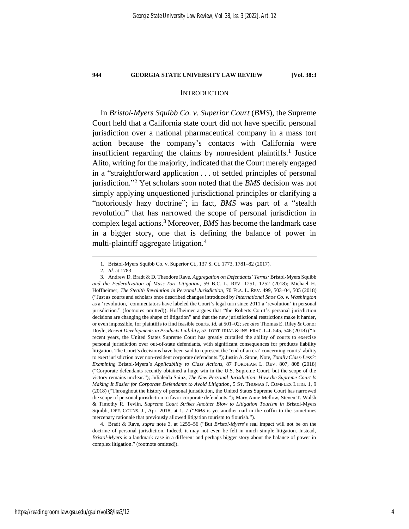### **INTRODUCTION**

In *Bristol-Myers Squibb Co. v. Superior Court* (*BMS*), the Supreme Court held that a California state court did not have specific personal jurisdiction over a national pharmaceutical company in a mass tort action because the company's contacts with California were insufficient regarding the claims by nonresident plaintiffs. 1 Justice Alito, writing for the majority, indicated that the Court merely engaged in a "straightforward application . . . of settled principles of personal jurisdiction." <sup>2</sup> Yet scholars soon noted that the *BMS* decision was not simply applying unquestioned jurisdictional principles or clarifying a "notoriously hazy doctrine"; in fact, *BMS* was part of a "stealth revolution" that has narrowed the scope of personal jurisdiction in complex legal actions.<sup>3</sup> Moreover, *BMS* has become the landmark case in a bigger story, one that is defining the balance of power in multi-plaintiff aggregate litigation.<sup>4</sup>

4. Bradt & Rave, *supra* note [3,](#page-4-0) at 1255–56 ("But *Bristol-Myers*'s real impact will not be on the doctrine of personal jurisdiction. Indeed, it may not even be felt in much simple litigation. Instead, *Bristol-Myers* is a landmark case in a different and perhaps bigger story about the balance of power in complex litigation." (footnote omitted)).

<span id="page-4-0"></span><sup>1.</sup> Bristol-Myers Squibb Co. v. Superior Ct., 137 S. Ct. 1773, 1781–82 (2017).

<sup>2</sup>*. Id.* at 1783.

<sup>3.</sup> Andrew D. Bradt & D. Theodore Rave, *Aggregation on Defendants' Terms:* Bristol-Myers Squibb *and the Federalization of Mass-Tort Litigation*, 59 B.C. L. REV. 1251, 1252 (2018); Michael H. Hoffheimer, *The Stealth Revolution in Personal Jurisdiction*, 70 FLA. L. REV. 499, 503–04, 505 (2018) ("Just as courts and scholars once described changes introduced by *International Shoe Co. v. Washington* as a 'revolution,' commentators have labeled the Court's legal turn since 2011 a 'revolution' in personal jurisdiction." (footnotes omitted)). Hoffheimer argues that "the Roberts Court's personal jurisdiction decisions are changing the shape of litigation" and that the new jurisdictional restrictions make it harder, or even impossible, for plaintiffs to find feasible courts. *Id.* at 501–02; *see also* Thomas E. Riley & Conor Doyle, *Recent Developments in Products Liability*, 53 TORT TRIAL & INS. PRAC. L.J. 545, 546 (2018) ("In recent years, the United States Supreme Court has greatly curtailed the ability of courts to exercise personal jurisdiction over out-of-state defendants, with significant consequences for products liability litigation. The Court's decisions have been said to represent the 'end of an era' concerning courts' ability to exert jurisdiction over non-resident corporate defendants."); Justin A. Stone, Note, *Totally Class-Less?: Examining* Bristol-Myers*'s Applicability to Class Actions*, 87 FORDHAM L. REV. 807, 808 (2018) ("Corporate defendants recently obtained a huge win in the U.S. Supreme Court, but the scope of the victory remains unclear."); Julialeida Sainz, *The New Personal Jurisdiction: How the Supreme Court Is Making It Easier for Corporate Defendants to Avoid Litigation*, 5 ST. THOMAS J. COMPLEX LITIG. 1, 9 (2018) ("Throughout the history of personal jurisdiction, the United States Supreme Court has narrowed the scope of personal jurisdiction to favor corporate defendants."); Mary Anne Mellow, Steven T. Walsh & Timothy R. Tevlin, *Supreme Court Strikes Another Blow to Litigation Tourism in* Bristol-Myers Squibb, DEF. COUNS. J., Apr. 2018, at 1, 7 ("*BMS* is yet another nail in the coffin to the sometimes mercenary rationale that previously allowed litigation tourism to flourish.").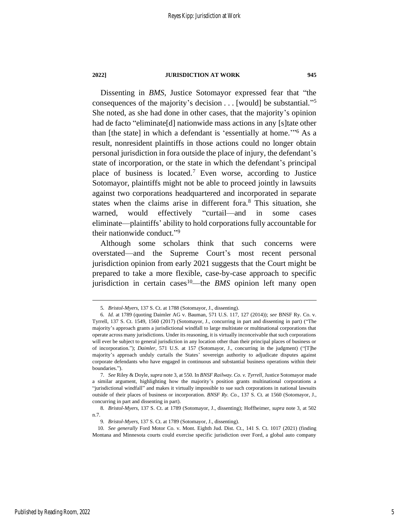Dissenting in *BMS*, Justice Sotomayor expressed fear that "the consequences of the majority's decision . . . [would] be substantial." 5 She noted, as she had done in other cases, that the majority's opinion had de facto "eliminate<sup>[d]</sup> nationwide mass actions in any [s] tate other than [the state] in which a defendant is 'essentially at home.'" <sup>6</sup> As a result, nonresident plaintiffs in those actions could no longer obtain personal jurisdiction in fora outside the place of injury, the defendant's state of incorporation, or the state in which the defendant's principal place of business is located.<sup>7</sup> Even worse, according to Justice Sotomayor, plaintiffs might not be able to proceed jointly in lawsuits against two corporations headquartered and incorporated in separate states when the claims arise in different fora.<sup>8</sup> This situation, she warned, would effectively "curtail—and in some cases eliminate—plaintiffs' ability to hold corporations fully accountable for their nationwide conduct." 9

Although some scholars think that such concerns were overstated—and the Supreme Court's most recent personal jurisdiction opinion from early 2021 suggests that the Court might be prepared to take a more flexible, case-by-case approach to specific jurisdiction in certain cases<sup>10</sup>—the *BMS* opinion left many open

<sup>5</sup>*. Bristol-Myers*, 137 S. Ct. at 1788 (Sotomayor, J., dissenting).

<sup>6</sup>*. Id.* at 1789 (quoting Daimler AG v. Bauman, 571 U.S. 117, 127 (2014)); *see* BNSF Ry. Co. v. Tyrrell, 137 S. Ct. 1549, 1560 (2017) (Sotomayor, J., concurring in part and dissenting in part) ("The majority's approach grants a jurisdictional windfall to large multistate or multinational corporations that operate across many jurisdictions. Under its reasoning, it is virtually inconceivable that such corporations will ever be subject to general jurisdiction in any location other than their principal places of business or of incorporation."); *Daimler*, 571 U.S. at 157 (Sotomayor, J., concurring in the judgment) ("[T]he majority's approach unduly curtails the States' sovereign authority to adjudicate disputes against corporate defendants who have engaged in continuous and substantial business operations within their boundaries.").

<sup>7</sup>*. See* Riley & Doyle, *supra* not[e 3,](#page-4-0) at 550. In *BNSF Railway. Co. v. Tyrrell*, Justice Sotomayor made a similar argument, highlighting how the majority's position grants multinational corporations a "jurisdictional windfall" and makes it virtually impossible to sue such corporations in national lawsuits outside of their places of business or incorporation. *BNSF Ry. Co.*, 137 S. Ct. at 1560 (Sotomayor, J., concurring in part and dissenting in part).

<sup>8</sup>*. Bristol-Myers*, 137 S. Ct. at 1789 (Sotomayor, J., dissenting); Hoffheimer, *supra* note [3,](#page-4-0) at 502 n.7.

<sup>9</sup>*. Bristol-Myers*, 137 S. Ct. at 1789 (Sotomayor, J., dissenting).

<sup>10</sup>*. See generally* Ford Motor Co. v. Mont. Eighth Jud. Dist. Ct., 141 S. Ct. 1017 (2021) (finding Montana and Minnesota courts could exercise specific jurisdiction over Ford, a global auto company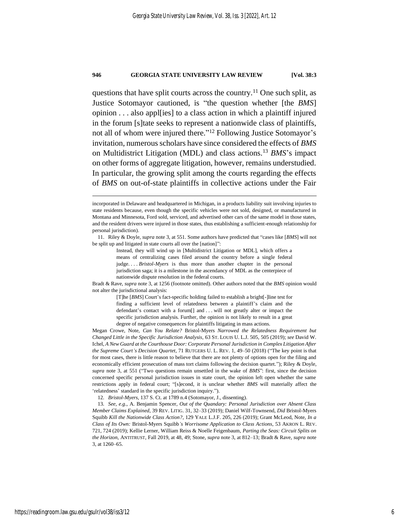<span id="page-6-0"></span>questions that have split courts across the country.<sup>11</sup> One such split, as Justice Sotomayor cautioned, is "the question whether [the *BMS*] opinion . . . also appl[ies] to a class action in which a plaintiff injured in the forum [s]tate seeks to represent a nationwide class of plaintiffs, not all of whom were injured there." <sup>12</sup> Following Justice Sotomayor's invitation, numerous scholars have since considered the effects of *BMS* on Multidistrict Litigation (MDL) and class actions.<sup>13</sup> *BMS*'s impact on other forms of aggregate litigation, however, remains understudied. In particular, the growing split among the courts regarding the effects of *BMS* on out-of-state plaintiffs in collective actions under the Fair

11. Riley & Doyle, *supra* not[e 3,](#page-4-0) at 551. Some authors have predicted that "cases like [*BMS*] will not be split up and litigated in state courts all over the [nation]":

Bradt & Rave, *supra* not[e 3,](#page-4-0) at 1256 (footnote omitted). Other authors noted that the *BMS* opinion would not alter the jurisdictional analysis:

> [T]he [*BMS*] Court's fact-specific holding failed to establish a bright[-]line test for finding a sufficient level of relatedness between a plaintiff's claim and the defendant's contact with a forum[] and . . . will not greatly alter or impact the specific jurisdiction analysis. Further, the opinion is not likely to result in a great degree of negative consequences for plaintiffs litigating in mass actions.

Megan Crowe, Note, *Can You Relate?* Bristol-Myers *Narrowed the Relatedness Requirement but Changed Little in the Specific Jurisdiction Analysis*, 63 ST. LOUIS U. L.J. 505, 505 (2019); *see* David W. Ichel, *A New Guard at the Courthouse Door: Corporate Personal Jurisdiction in Complex Litigation After the Supreme Court's Decision Quartet*, 71 RUTGERS U. L. REV. 1, 49–50 (2018) ("The key point is that for most cases, there is little reason to believe that there are not plenty of options open for the filing and economically efficient prosecution of mass tort claims following the decision quartet."); Riley & Doyle, *supra* note [3,](#page-4-0) at 551 ("Two questions remain unsettled in the wake of *BMS*": first, since the decision concerned specific personal jurisdiction issues in state court, the opinion left open whether the same restrictions apply in federal court; "[s]econd, it is unclear whether *BMS* will materially affect the 'relatedness' standard in the specific jurisdiction inquiry.").

12*. Bristol-Myers*, 137 S. Ct. at 1789 n.4 (Sotomayor, J., dissenting).

13*. See, e.g.*, A. Benjamin Spencer, *Out of the Quandary: Personal Jurisdiction over Absent Class Member Claims Explained*, 39 REV. LITIG. 31, 32–33 (2019); Daniel Wilf-Townsend, *Did* Bristol-Myers Squibb *Kill the Nationwide Class Action?*, 129 YALE L.J.F. 205, 226 (2019); Grant McLeod, Note, *In a Class of Its Own:* Bristol-Myers Squibb*'s Worrisome Application to Class Actions*, 53 AKRON L. REV. 721, 724 (2019); Kellie Lerner, William Reiss & Noelle Feigenbaum, *Parting the Seas: Circuit Splits on the Horizon*, ANTITRUST, Fall 2019, at 48, 49; Stone, *supra* note [3,](#page-4-0) at 812–13; Bradt & Rave, *supra* note [3,](#page-4-0) at 1260–65.

incorporated in Delaware and headquartered in Michigan, in a products liability suit involving injuries to state residents because, even though the specific vehicles were not sold, designed, or manufactured in Montana and Minnesota, Ford sold, serviced, and advertised other cars of the same model in those states, and the resident drivers were injured in those states, thus establishing a sufficient-enough relationship for personal jurisdiction).

<span id="page-6-1"></span>Instead, they will wind up in [Multidistrict Litigation or MDL], which offers a means of centralizing cases filed around the country before a single federal judge. . . . *Bristol-Myers* is thus more than another chapter in the personal jurisdiction saga; it is a milestone in the ascendancy of MDL as the centerpiece of nationwide dispute resolution in the federal courts.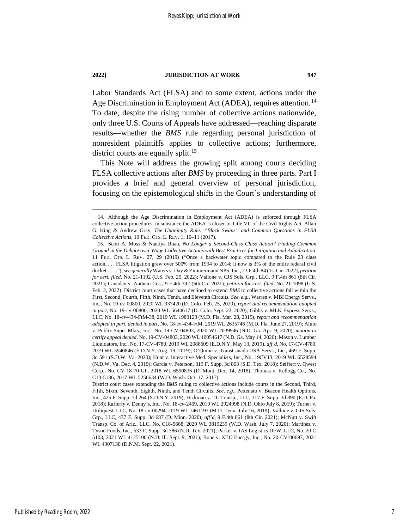Labor Standards Act (FLSA) and to some extent, actions under the Age Discrimination in Employment Act (ADEA), requires attention.<sup>14</sup> To date, despite the rising number of collective actions nationwide, only three U.S. Courts of Appeals have addressed—reaching disparate results—whether the *BMS* rule regarding personal jurisdiction of nonresident plaintiffs applies to collective actions; furthermore, district courts are equally split.<sup>15</sup>

This Note will address the growing split among courts deciding FLSA collective actions after *BMS* by proceeding in three parts. Part I provides a brief and general overview of personal jurisdiction, focusing on the epistemological shifts in the Court's understanding of

<span id="page-7-0"></span>

<sup>14.</sup> Although the Age Discrimination in Employment Act (ADEA) is enforced through FLSA collective action procedures, in substance the ADEA is closer to Title VII of the Civil Rights Act. Allan G. King & Andrew Gray, *The Unanimity Rule: "Black Swans" and Common Questions in FLSA Collective Actions*, 10 FED. CTS. L. REV. 1, 10–11 (2017).

<sup>15.</sup> Scott A. Moss & Nantiya Ruan, *No Longer a Second-Class Class Action? Finding Common Ground in the Debate over Wage Collective Actions with Best Practices for Litigation and Adjudication*, 11 FED. CTS. L. REV. 27, 29 (2019) ("Once a backwater topic compared to the Rule 23 class action, . . . FLSA litigation grew over 500% from 1994 to 2014; it now is 3% of the entire federal civil docket . . . .");*see generally* Waters v. Day & Zimmermann NPS, Inc., 23 F.4th 84 (1st Cir. 2022), *petition for cert. filed*, No. 21-1192 (U.S. Feb. 25, 2022); Vallone v. CJS Sols. Grp., LLC, 9 F.4th 861 (8th Cir. 2021); Canaday v. Anthem Cos., 9 F.4th 392 (6th Cir. 2021), *petition for cert. filed*, No. 21-1098 (U.S. Feb. 2, 2022). District court cases that have declined to extend *BMS* to collective actions fall within the First, Second, Fourth, Fifth, Ninth, Tenth, and Eleventh Circuits. *See, e.g.*, Warren v. MBI Energy Servs., Inc., No. 19-cv-00800, 2020 WL 937420 (D. Colo. Feb. 25, 2020), *report and recommendation adopted in part*, No. 19-cv-00800, 2020 WL 5640617 (D. Colo. Sept. 22, 2020); Gibbs v. MLK Express Servs., LLC, No. 18-cv-434-FtM-38, 2019 WL 1980123 (M.D. Fla. Mar. 28, 2019), *report and recommendation adopted in part, denied in part*, No. 18-cv-434-FtM, 2019 WL 2635746 (M.D. Fla. June 27, 2019); Aiuto v. Publix Super Mkts., Inc., No. 19-CV-04803, 2020 WL 2039946 (N.D. Ga. Apr. 9, 2020), *motion to certify appeal denied*, No. 19-CV-04803, 2020 WL 10054617 (N.D. Ga. May 14, 2020); Mason v. Lumber Liquidators, Inc., No. 17-CV-4780, 2019 WL 2088609 (E.D.N.Y. May 13, 2019), *aff'd*, No. 17-CV-4780, 2019 WL 3940846 (E.D.N.Y. Aug. 19, 2019); O'Quinn v. TransCanada USA Servs., Inc., 469 F. Supp. 3d 591 (S.D.W. Va. 2020); Hunt v. Interactive Med. Specialists, Inc., No. 19CV13, 2019 WL 6528594 (N.D.W. Va. Dec. 4, 2019); Garcia v. Peterson, 319 F. Supp. 3d 863 (S.D. Tex. 2018); Seiffert v. Qwest Corp., No. CV-18-70-GF, 2018 WL 6590836 (D. Mont. Dec. 14, 2018); Thomas v. Kellogg Co., No. C13-5136, 2017 WL 5256634 (W.D. Wash. Oct. 17, 2017).

District court cases extending the *BMS* ruling to collective actions include courts in the Second, Third, Fifth, Sixth, Seventh, Eighth, Ninth, and Tenth Circuits. *See, e.g.*, Pettenato v. Beacon Health Options, Inc., 425 F. Supp. 3d 264 (S.D.N.Y. 2019); Hickman v. TL Transp., LLC, 317 F. Supp. 3d 890 (E.D. Pa. 2018); Rafferty v. Denny's, Inc., No. 18-cv-2409, 2019 WL 2924998 (N.D. Ohio July 8, 2019); Turner v. Utiliquest, LLC, No. 18-cv-00294, 2019 WL 7461197 (M.D. Tenn. July 16, 2019); Vallone v. CJS Sols. Grp., LLC, 437 F. Supp. 3d 687 (D. Minn. 2020), *aff'd*, 9 F.4th 861 (8th Cir. 2021); McNutt v. Swift Transp. Co. of Ariz., LLC, No. C18-5668, 2020 WL 3819239 (W.D. Wash. July 7, 2020); Martinez v. Tyson Foods, Inc., 533 F. Supp. 3d 386 (N.D. Tex. 2021); Parker v. IAS Logistics DFW, LLC, No. 20 C 5103, 2021 WL 4125106 (N.D. Ill. Sept. 9, 2021); Bone v. XTO Energy, Inc., No. 20-CV-00697, 2021 WL 4307130 (D.N.M. Sept. 22, 2021).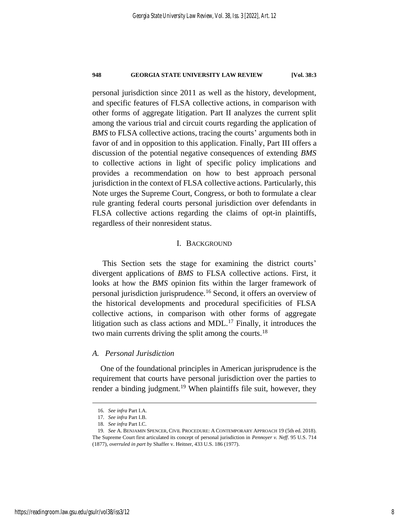personal jurisdiction since 2011 as well as the history, development, and specific features of FLSA collective actions, in comparison with other forms of aggregate litigation. Part II analyzes the current split among the various trial and circuit courts regarding the application of *BMS* to FLSA collective actions, tracing the courts' arguments both in favor of and in opposition to this application. Finally, Part III offers a discussion of the potential negative consequences of extending *BMS* to collective actions in light of specific policy implications and provides a recommendation on how to best approach personal jurisdiction in the context of FLSA collective actions. Particularly, this Note urges the Supreme Court, Congress, or both to formulate a clear rule granting federal courts personal jurisdiction over defendants in FLSA collective actions regarding the claims of opt-in plaintiffs, regardless of their nonresident status.

### I. BACKGROUND

This Section sets the stage for examining the district courts' divergent applications of *BMS* to FLSA collective actions. First, it looks at how the *BMS* opinion fits within the larger framework of personal jurisdiction jurisprudence.<sup>16</sup> Second, it offers an overview of the historical developments and procedural specificities of FLSA collective actions, in comparison with other forms of aggregate litigation such as class actions and MDL.<sup>17</sup> Finally, it introduces the two main currents driving the split among the courts.<sup>18</sup>

### *A. Personal Jurisdiction*

One of the foundational principles in American jurisprudence is the requirement that courts have personal jurisdiction over the parties to render a binding judgment.<sup>19</sup> When plaintiffs file suit, however, they

<span id="page-8-0"></span><sup>16</sup>*. See infra* Part I.A.

<sup>17</sup>*. See infra* Part I.B.

<sup>18</sup>*. See infra* Part I.C.

<sup>19</sup>*. See* A. BENJAMIN SPENCER, CIVIL PROCEDURE: A CONTEMPORARY APPROACH 19 (5th ed. 2018). The Supreme Court first articulated its concept of personal jurisdiction in *Pennoyer v. Neff*. 95 U.S. 714 (1877), *overruled in part by* Shaffer v. Heitner, 433 U.S. 186 (1977).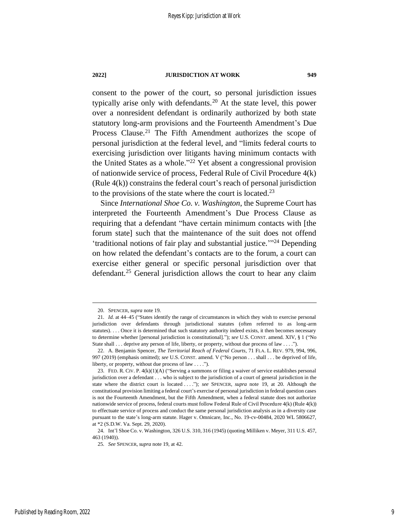consent to the power of the court, so personal jurisdiction issues typically arise only with defendants.<sup>20</sup> At the state level, this power over a nonresident defendant is ordinarily authorized by both state statutory long-arm provisions and the Fourteenth Amendment's Due Process Clause.<sup>21</sup> The Fifth Amendment authorizes the scope of personal jurisdiction at the federal level, and "limits federal courts to exercising jurisdiction over litigants having minimum contacts with the United States as a whole." <sup>22</sup> Yet absent a congressional provision of nationwide service of process, Federal Rule of Civil Procedure 4(k) (Rule 4(k)) constrains the federal court's reach of personal jurisdiction to the provisions of the state where the court is located.<sup>23</sup>

Since *International Shoe Co. v. Washington*, the Supreme Court has interpreted the Fourteenth Amendment's Due Process Clause as requiring that a defendant "have certain minimum contacts with [the forum state] such that the maintenance of the suit does not offend 'traditional notions of fair play and substantial justice.'" <sup>24</sup> Depending on how related the defendant's contacts are to the forum, a court can exercise either general or specific personal jurisdiction over that defendant.<sup>25</sup> General jurisdiction allows the court to hear any claim

<sup>20.</sup> SPENCER, *supra* not[e 19.](#page-8-0)

<sup>21</sup>*. Id.* at 44–45 ("States identify the range of circumstances in which they wish to exercise personal jurisdiction over defendants through jurisdictional statutes (often referred to as long-arm statutes). . . . Once it is determined that such statutory authority indeed exists, it then becomes necessary to determine whether [personal jurisdiction is constitutional]."); *see* U.S. CONST. amend. XIV, § 1 ("No State shall . . . deprive any person of life, liberty, or property, without due process of law . . . .").

<sup>22.</sup> A. Benjamin Spencer, *The Territorial Reach of Federal Courts*, 71 FLA. L. REV. 979, 994, 996, 997 (2019) (emphasis omitted); *see* U.S. CONST. amend. V ("No person . . . shall . . . be deprived of life, liberty, or property, without due process of law . . . .").

<sup>23.</sup> FED. R. CIV. P. 4(k)(1)(A) ("Serving a summons or filing a waiver of service establishes personal jurisdiction over a defendant . . . who is subject to the jurisdiction of a court of general jurisdiction in the state where the district court is located . . . ."); *see* SPENCER, *supra* note [19,](#page-8-0) at 20. Although the constitutional provision limiting a federal court's exercise of personal jurisdiction in federal question cases is not the Fourteenth Amendment, but the Fifth Amendment, when a federal statute does not authorize nationwide service of process, federal courts must follow Federal Rule of Civil Procedure 4(k) (Rule 4(k)) to effectuate service of process and conduct the same personal jurisdiction analysis as in a diversity case pursuant to the state's long-arm statute. Hager v. Omnicare, Inc., No. 19-cv-00484, 2020 WL 5806627, at \*2 (S.D.W. Va. Sept. 29, 2020).

<sup>24.</sup> Int'l Shoe Co. v. Washington, 326 U.S. 310, 316 (1945) (quoting Milliken v. Meyer, 311 U.S. 457, 463 (1940)).

<sup>25</sup>*. See* SPENCER, *supra* not[e 19,](#page-8-0) at 42.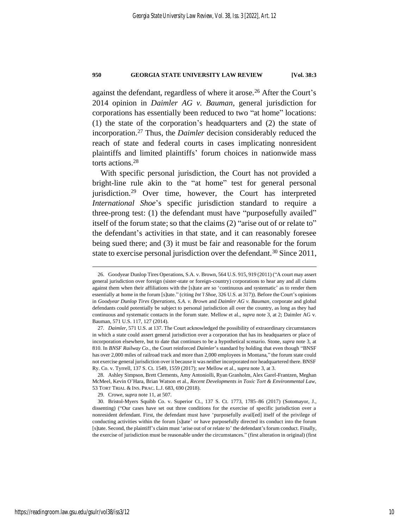against the defendant, regardless of where it arose.<sup>26</sup> After the Court's 2014 opinion in *Daimler AG v. Bauman*, general jurisdiction for corporations has essentially been reduced to two "at home" locations: (1) the state of the corporation's headquarters and (2) the state of incorporation.<sup>27</sup> Thus, the *Daimler* decision considerably reduced the reach of state and federal courts in cases implicating nonresident plaintiffs and limited plaintiffs' forum choices in nationwide mass torts actions.<sup>28</sup>

With specific personal jurisdiction, the Court has not provided a bright-line rule akin to the "at home" test for general personal jurisdiction.<sup>29</sup> Over time, however, the Court has interpreted *International Shoe*'s specific jurisdiction standard to require a three-prong test: (1) the defendant must have "purposefully availed" itself of the forum state; so that the claims (2) "arise out of or relate to" the defendant's activities in that state, and it can reasonably foresee being sued there; and (3) it must be fair and reasonable for the forum state to exercise personal jurisdiction over the defendant.<sup>30</sup> Since 2011,

<sup>26.</sup> Goodyear Dunlop Tires Operations, S.A. v. Brown, 564 U.S. 915, 919 (2011) ("A court may assert general jurisdiction over foreign (sister-state or foreign-country) corporations to hear any and all claims against them when their affiliations with the [s]tate are so 'continuous and systematic' as to render them essentially at home in the forum [s]tate." (citing *Int'l Shoe*, 326 U.S. at 317)). Before the Court's opinions in *Goodyear Dunlop Tires Operations, S.A. v. Brown* and *Daimler AG v. Bauman*, corporate and global defendants could potentially be subject to personal jurisdiction all over the country, as long as they had continuous and systematic contacts in the forum state. Mellow et al., *supra* note [3,](#page-4-0) at 2; Daimler AG v. Bauman, 571 U.S. 117, 127 (2014).

<sup>27</sup>*. Daimler*, 571 U.S. at 137. The Court acknowledged the possibility of extraordinary circumstances in which a state could assert general jurisdiction over a corporation that has its headquarters or place of incorporation elsewhere, but to date that continues to be a hypothetical scenario. Stone, *supra* not[e 3,](#page-4-0) at 810. In *BNSF Railway Co.*, the Court reinforced *Daimler*'s standard by holding that even though "BNSF has over 2,000 miles of railroad track and more than 2,000 employees in Montana," the forum state could not exercise general jurisdiction over it because it was neither incorporated nor headquartered there. BNSF Ry. Co. v. Tyrrell, 137 S. Ct. 1549, 1559 (2017); *see* Mellow et al., *supra* note [3,](#page-4-0) at 3.

<sup>28.</sup> Ashley Simpson, Brett Clements, Amy Antoniolli, Ryan Granholm, Alex Garel-Frantzen, Meghan McMeel, Kevin O'Hara, Brian Watson et al., *Recent Developments in Toxic Tort & Environmental Law*, 53 TORT TRIAL & INS. PRAC. L.J. 683, 690 (2018).

<sup>29.</sup> Crowe, *supra* not[e 11,](#page-6-0) at 507.

<sup>30.</sup> Bristol-Myers Squibb Co. v. Superior Ct., 137 S. Ct. 1773, 1785–86 (2017) (Sotomayor, J., dissenting) ("Our cases have set out three conditions for the exercise of specific jurisdiction over a nonresident defendant. First, the defendant must have 'purposefully avail[ed] itself of the privilege of conducting activities within the forum [s]tate' or have purposefully directed its conduct into the forum [s]tate. Second, the plaintiff's claim must 'arise out of or relate to' the defendant's forum conduct. Finally, the exercise of jurisdiction must be reasonable under the circumstances." (first alteration in original) (first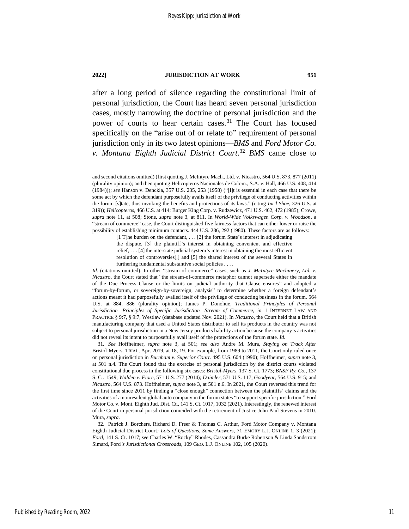after a long period of silence regarding the constitutional limit of personal jurisdiction, the Court has heard seven personal jurisdiction cases, mostly narrowing the doctrine of personal jurisdiction and the power of courts to hear certain cases.<sup>31</sup> The Court has focused specifically on the "arise out of or relate to" requirement of personal jurisdiction only in its two latest opinions—*BMS* and *Ford Motor Co. v. Montana Eighth Judicial District Court*. <sup>32</sup> *BMS* came close to

[1 T]he burden on the defendant, . . . [2] the forum State's interest in adjudicating the dispute, [3] the plaintiff's interest in obtaining convenient and effective relief, . . . [4] the interstate judicial system's interest in obtaining the most efficient resolution of controversies[,] and [5] the shared interest of the several States in furthering fundamental substantive social policies . . . .

31*. See* Hoffheimer, *supra* note [3,](#page-4-0) at 501; *see also* Andre M. Mura, *Staying on Track After* Bristol-Myers, TRIAL, Apr. 2019, at 18, 19. For example, from 1989 to 2011, the Court only ruled once on personal jurisdiction in *Burnham v. Superior Court*. 495 U.S. 604 (1990); Hoffheimer, *supra* note [3,](#page-4-0)  at 501 n.4. The Court found that the exercise of personal jurisdiction by the district courts violated constitutional due process in the following six cases: *Bristol-Myers*, 137 S. Ct. 1773; *BNSF Ry. Co.*, 137 S. Ct. 1549; *Walden v. Fiore*, 571 U.S. 277 (2014); *Daimler*, 571 U.S. 117; *Goodyear*, 564 U.S. 915; and *Nicastro*, 564 U.S. 873. Hoffheimer, *supra* not[e 3,](#page-4-0) at 501 n.6. In 2021, the Court reversed this trend for the first time since 2011 by finding a "close enough" connection between the plaintiffs' claims and the activities of a nonresident global auto company in the forum states "to support specific jurisdiction." Ford Motor Co. v. Mont. Eighth Jud. Dist. Ct., 141 S. Ct. 1017, 1032 (2021). Interestingly, the renewed interest of the Court in personal jurisdiction coincided with the retirement of Justice John Paul Stevens in 2010. Mura, *supra*.

32. Patrick J. Borchers, Richard D. Freer & Thomas C. Arthur, Ford Motor Company v. Montana Eighth Judicial District Court*: Lots of Questions, Some Answers*, 71 EMORY L.J. ONLINE 1, 3 (2021); *Ford*, 141 S. Ct. 1017; *see* Charles W. "Rocky" Rhodes, Cassandra Burke Robertson & Linda Sandstrom Simard, Ford*'s Jurisdictional Crossroads*, 109 GEO. L.J. ONLINE 102, 105 (2020).

<span id="page-11-0"></span>and second citations omitted) (first quoting J. McIntyre Mach., Ltd. v. Nicastro, 564 U.S. 873, 877 (2011) (plurality opinion); and then quoting Helicopteros Nacionales de Colom., S.A. v. Hall, 466 U.S. 408, 414 (1984))); *see* Hanson v. Denckla, 357 U.S. 235, 253 (1958) ("[I]t is essential in each case that there be some act by which the defendant purposefully avails itself of the privilege of conducting activities within the forum [s]tate, thus invoking the benefits and protections of its laws." (citing *Int'l Shoe*, 326 U.S. at 319)); *Helicopteros*, 466 U.S. at 414; Burger King Corp. v. Rudzewicz, 471 U.S. 462, 472 (1985); Crowe, *supra* note [11,](#page-6-0) at 508; Stone, *supra* note [3,](#page-4-0) at 811. In *World-Wide Volkswagen Corp. v. Woodson*, a "stream of commerce" case, the Court distinguished five fairness factors that can either lower or raise the possibility of establishing minimum contacts. 444 U.S. 286, 292 (1980). These factors are as follows:

*Id.* (citations omitted). In other "stream of commerce" cases, such as *J. McIntyre Machinery, Ltd. v. Nicastro*, the Court stated that "the stream-of-commerce metaphor cannot supersede either the mandate of the Due Process Clause or the limits on judicial authority that Clause ensures" and adopted a "forum-by-forum, or sovereign-by-sovereign, analysis" to determine whether a foreign defendant's actions meant it had purposefully availed itself of the privilege of conducting business in the forum. 564 U.S. at 884, 886 (plurality opinion); James P. Donohue, *Traditional Principles of Personal Jurisdiction—Principles of Specific Jurisdiction—Stream of Commerce*, *in* 1 INTERNET LAW AND PRACTICE § 9:7, § 9:7, Westlaw (database updated Nov. 2021). In *Nicastro*, the Court held that a British manufacturing company that used a United States distributor to sell its products in the country was not subject to personal jurisdiction in a New Jersey products liability action because the company's activities did not reveal its intent to purposefully avail itself of the protections of the forum state. *Id.*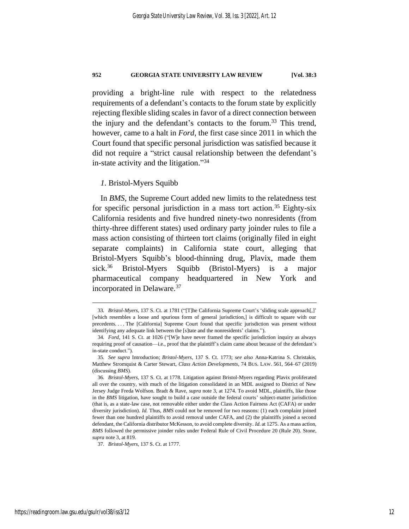providing a bright-line rule with respect to the relatedness requirements of a defendant's contacts to the forum state by explicitly rejecting flexible sliding scales in favor of a direct connection between the injury and the defendant's contacts to the forum.<sup>33</sup> This trend, however, came to a halt in *Ford*, the first case since 2011 in which the Court found that specific personal jurisdiction was satisfied because it did not require a "strict causal relationship between the defendant's in-state activity and the litigation."<sup>34</sup>

### <span id="page-12-0"></span>*1.* Bristol-Myers Squibb

In *BMS*, the Supreme Court added new limits to the relatedness test for specific personal jurisdiction in a mass tort action.<sup>35</sup> Eighty-six California residents and five hundred ninety-two nonresidents (from thirty-three different states) used ordinary party joinder rules to file a mass action consisting of thirteen tort claims (originally filed in eight separate complaints) in California state court, alleging that Bristol-Myers Squibb's blood-thinning drug, Plavix, made them sick.<sup>36</sup> Bristol-Myers Squibb (Bristol-Myers) is a major pharmaceutical company headquartered in New York and incorporated in Delaware.<sup>37</sup>

<span id="page-12-1"></span><sup>33</sup>*. Bristol-Myers*, 137 S. Ct. at 1781 ("[T]he California Supreme Court's 'sliding scale approach[,]' [which resembles a loose and spurious form of general jurisdiction,] is difficult to square with our precedents. . . . The [California] Supreme Court found that specific jurisdiction was present without identifying any adequate link between the [s]tate and the nonresidents' claims.").

<sup>34</sup>*. Ford*, 141 S. Ct. at 1026 ("[W]e have never framed the specific jurisdiction inquiry as always requiring proof of causation—i.e., proof that the plaintiff's claim came about because of the defendant's in-state conduct.").

<sup>35</sup>*. See supra* Introduction; *Bristol-Myers*, 137 S. Ct. 1773; *see also* Anna-Katrina S. Christakis, Matthew Stromquist & Carter Stewart, *Class Action Developments*, 74 BUS. LAW. 561, 564–67 (2019) (discussing *BMS*).

<sup>36</sup>*. Bristol-Myers*, 137 S. Ct. at 1778. Litigation against Bristol-Myers regarding Plavix proliferated all over the country, with much of the litigation consolidated in an MDL assigned to District of New Jersey Judge Freda Wolfson. Bradt & Rave, *supra* not[e 3,](#page-4-0) at 1274. To avoid MDL, plaintiffs, like those in the *BMS* litigation, have sought to build a case outside the federal courts' subject-matter jurisdiction (that is, as a state-law case, not removable either under the Class Action Fairness Act (CAFA) or under diversity jurisdiction). *Id.* Thus, *BMS* could not be removed for two reasons: (1) each complaint joined fewer than one hundred plaintiffs to avoid removal under CAFA, and (2) the plaintiffs joined a second defendant, the California distributor McKesson, to avoid complete diversity. *Id.* at 1275. As a mass action, *BMS* followed the permissive joinder rules under Federal Rule of Civil Procedure 20 (Rule 20). Stone, *supra* not[e 3,](#page-4-0) at 819.

<sup>37</sup>*. Bristol-Myers*, 137 S. Ct. at 1777.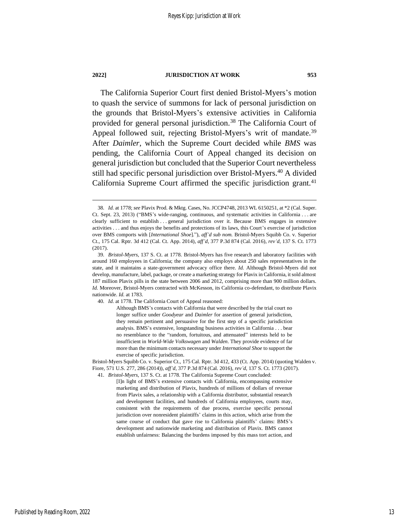The California Superior Court first denied Bristol-Myers's motion to quash the service of summons for lack of personal jurisdiction on the grounds that Bristol-Myers's extensive activities in California provided for general personal jurisdiction.<sup>38</sup> The California Court of Appeal followed suit, rejecting Bristol-Myers's writ of mandate.<sup>39</sup> After *Daimler*, which the Supreme Court decided while *BMS* was pending, the California Court of Appeal changed its decision on general jurisdiction but concluded that the Superior Court nevertheless still had specific personal jurisdiction over Bristol-Myers.<sup>40</sup> A divided California Supreme Court affirmed the specific jurisdiction grant. $41$ 

<sup>38</sup>*. Id.* at 1778; *see* Plavix Prod. & Mktg. Cases, No. JCCP4748, 2013 WL 6150251, at \*2 (Cal. Super. Ct. Sept. 23, 2013) ("BMS's wide-ranging, continuous, and systematic activities in California . . . are clearly sufficient to establish . . . general jurisdiction over it. Because BMS engages in extensive activities . . . and thus enjoys the benefits and protections of its laws, this Court's exercise of jurisdiction over BMS comports with [*International Shoe*]."), *aff'd sub nom.* Bristol-Myers Squibb Co. v. Superior Ct., 175 Cal. Rptr. 3d 412 (Cal. Ct. App. 2014), *aff'd*, 377 P.3d 874 (Cal. 2016), *rev'd*, 137 S. Ct. 1773 (2017).

<sup>39</sup>*. Bristol-Myers*, 137 S. Ct. at 1778. Bristol-Myers has five research and laboratory facilities with around 160 employees in California; the company also employs about 250 sales representatives in the state, and it maintains a state-government advocacy office there. *Id.* Although Bristol-Myers did not develop, manufacture, label, package, or create a marketing strategy for Plavix in California, it sold almost 187 million Plavix pills in the state between 2006 and 2012, comprising more than 900 million dollars. *Id.* Moreover, Bristol-Myers contracted with McKesson, its California co-defendant, to distribute Plavix nationwide. *Id.* at 1783.

<sup>40</sup>*. Id.* at 1778. The California Court of Appeal reasoned:

Although BMS's contacts with California that were described by the trial court no longer suffice under *Goodyear* and *Daimler* for assertion of general jurisdiction, they remain pertinent and persuasive for the first step of a specific jurisdiction analysis. BMS's extensive, longstanding business activities in California . . . bear no resemblance to the "random, fortuitous, and attenuated" interests held to be insufficient in *World-Wide Volkswagen* and *Walden*. They provide evidence of far more than the minimum contacts necessary under *International Shoe* to support the exercise of specific jurisdiction.

Bristol-Myers Squibb Co. v. Superior Ct., 175 Cal. Rptr. 3d 412, 433 (Ct. App. 2014) (quoting Walden v. Fiore, 571 U.S. 277, 286 (2014)), *aff'd*, 377 P.3d 874 (Cal. 2016), *rev'd*, 137 S. Ct. 1773 (2017).

<sup>41</sup>*. Bristol-Myers*, 137 S. Ct. at 1778. The California Supreme Court concluded:

<sup>[</sup>I]n light of BMS's extensive contacts with California, encompassing extensive marketing and distribution of Plavix, hundreds of millions of dollars of revenue from Plavix sales, a relationship with a California distributor, substantial research and development facilities, and hundreds of California employees, courts may, consistent with the requirements of due process, exercise specific personal jurisdiction over nonresident plaintiffs' claims in this action, which arise from the same course of conduct that gave rise to California plaintiffs' claims: BMS's development and nationwide marketing and distribution of Plavix. BMS cannot establish unfairness: Balancing the burdens imposed by this mass tort action, and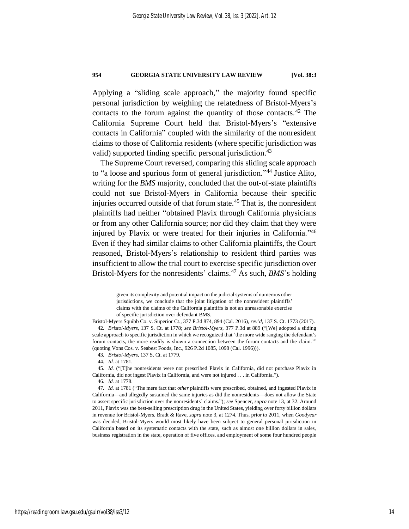Applying a "sliding scale approach," the majority found specific personal jurisdiction by weighing the relatedness of Bristol-Myers's contacts to the forum against the quantity of those contacts.<sup>42</sup> The California Supreme Court held that Bristol-Myers's "extensive contacts in California" coupled with the similarity of the nonresident claims to those of California residents (where specific jurisdiction was valid) supported finding specific personal jurisdiction.<sup>43</sup>

The Supreme Court reversed, comparing this sliding scale approach to "a loose and spurious form of general jurisdiction." <sup>44</sup> Justice Alito, writing for the *BMS* majority, concluded that the out-of-state plaintiffs could not sue Bristol-Myers in California because their specific injuries occurred outside of that forum state.<sup>45</sup> That is, the nonresident plaintiffs had neither "obtained Plavix through California physicians or from any other California source; nor did they claim that they were injured by Plavix or were treated for their injuries in California." 46 Even if they had similar claims to other California plaintiffs, the Court reasoned, Bristol-Myers's relationship to resident third parties was insufficient to allow the trial court to exercise specific jurisdiction over Bristol-Myers for the nonresidents' claims.<sup>47</sup> As such, *BMS*'s holding

46*. Id.* at 1778.

given its complexity and potential impact on the judicial systems of numerous other jurisdictions, we conclude that the joint litigation of the nonresident plaintiffs' claims with the claims of the California plaintiffs is not an unreasonable exercise of specific jurisdiction over defendant BMS.

Bristol-Myers Squibb Co. v. Superior Ct., 377 P.3d 874, 894 (Cal. 2016), *rev'd*, 137 S. Ct. 1773 (2017). 42*. Bristol-Myers*, 137 S. Ct. at 1778; *see Bristol-Myers*, 377 P.3d at 889 ("[We] adopted a sliding scale approach to specific jurisdiction in which we recognized that 'the more wide ranging the defendant's forum contacts, the more readily is shown a connection between the forum contacts and the claim.'" (quoting Vons Cos. v. Seabest Foods, Inc., 926 P.2d 1085, 1098 (Cal. 1996))).

<sup>43</sup>*. Bristol-Myers*, 137 S. Ct. at 1779.

<sup>44</sup>*. Id.* at 1781.

<sup>45</sup>*. Id.* ("[T]he nonresidents were not prescribed Plavix in California, did not purchase Plavix in California, did not ingest Plavix in California, and were not injured . . . in California.").

<sup>47</sup>*. Id.* at 1781 ("The mere fact that *other* plaintiffs were prescribed, obtained, and ingested Plavix in California—and allegedly sustained the same injuries as did the nonresidents—does not allow the State to assert specific jurisdiction over the nonresidents' claims."); *see* Spencer, *supra* not[e 13,](#page-6-1) at 32. Around 2011, Plavix was the best-selling prescription drug in the United States, yielding over forty billion dollars in revenue for Bristol-Myers. Bradt & Rave, *supra* not[e 3,](#page-4-0) at 1274. Thus, prior to 2011, when *Goodyear* was decided, Bristol-Myers would most likely have been subject to general personal jurisdiction in California based on its systematic contacts with the state, such as almost one billion dollars in sales, business registration in the state, operation of five offices, and employment of some four hundred people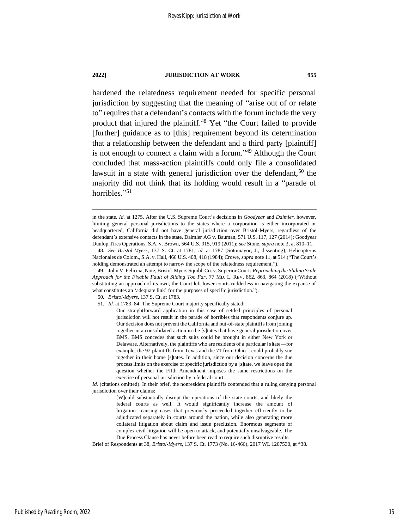hardened the relatedness requirement needed for specific personal jurisdiction by suggesting that the meaning of "arise out of or relate to" requires that a defendant's contacts with the forum include the very product that injured the plaintiff.<sup>48</sup> Yet "the Court failed to provide [further] guidance as to [this] requirement beyond its determination that a relationship between the defendant and a third party [plaintiff] is not enough to connect a claim with a forum." <sup>49</sup> Although the Court concluded that mass-action plaintiffs could only file a consolidated lawsuit in a state with general jurisdiction over the defendant,<sup>50</sup> the majority did not think that its holding would result in a "parade of horribles."<sup>51</sup>

- 50*. Bristol-Myers*, 137 S. Ct. at 1783.
- 51*. Id.* at 1783–84. The Supreme Court majority specifically stated:
	- Our straightforward application in this case of settled principles of personal jurisdiction will not result in the parade of horribles that respondents conjure up. Our decision does not prevent the California and out-of-state plaintiffs from joining together in a consolidated action in the [s]tates that have general jurisdiction over BMS. BMS concedes that such suits could be brought in either New York or Delaware. Alternatively, the plaintiffs who are residents of a particular [s]tate—for example, the 92 plaintiffs from Texas and the 71 from Ohio—could probably sue together in their home [s]tates. In addition, since our decision concerns the due process limits on the exercise of specific jurisdiction by a [s]tate, we leave open the question whether the Fifth Amendment imposes the same restrictions on the exercise of personal jurisdiction by a federal court.

*Id.* (citations omitted). In their brief, the nonresident plaintiffs contended that a ruling denying personal jurisdiction over their claims:

Brief of Respondents at 38, *Bristol-Myers*, 137 S. Ct. 1773 (No. 16-466), 2017 WL 1207530, at \*38.

in the state. *Id.* at 1275. After the U.S. Supreme Court's decisions in *Goodyear* and *Daimler*, however, limiting general personal jurisdictions to the states where a corporation is either incorporated or headquartered, California did not have general jurisdiction over Bristol-Myers, regardless of the defendant's extensive contacts in the state. Daimler AG v. Bauman, 571 U.S. 117, 127 (2014); Goodyear Dunlop Tires Operations, S.A. v. Brown, 564 U.S. 915, 919 (2011); *see* Stone, *supra* note [3,](#page-4-0) at 810–11.

<sup>48</sup>*. See Bristol-Myers*, 137 S. Ct. at 1781; *id.* at 1787 (Sotomayor, J., dissenting); Helicopteros Nacionales de Colom., S.A. v. Hall, 466 U.S. 408, 418 (1984); Crowe, *supra* not[e 11,](#page-6-0) at 514 ("The Court's holding demonstrated an attempt to narrow the scope of the relatedness requirement.").

<sup>49.</sup> John V. Feliccia, Note, Bristol-Myers Squibb Co. v. Superior Court*: Reproaching the Sliding Scale Approach for the Fixable Fault of Sliding Too Far*, 77 MD. L. REV. 862, 863, 864 (2018) ("Without substituting an approach of its own, the Court left lower courts rudderless in navigating the expanse of what constitutes an 'adequate link' for the purposes of specific jurisdiction.").

<sup>[</sup>W]ould substantially disrupt the operations of the state courts, and likely the federal courts as well. It would significantly increase the amount of litigation—causing cases that previously proceeded together efficiently to be adjudicated separately in courts around the nation, while also generating more collateral litigation about claim and issue preclusion. Enormous segments of complex civil litigation will be open to attack, and potentially unsalvageable. The Due Process Clause has never before been read to require such disruptive results.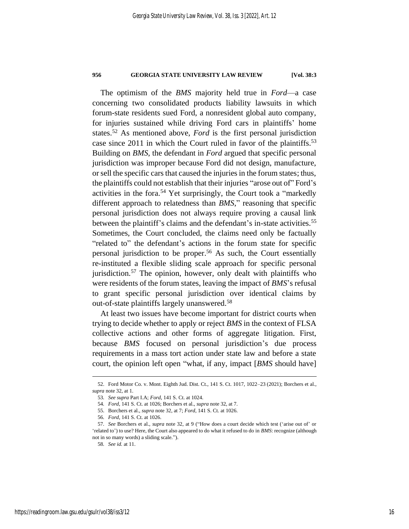The optimism of the *BMS* majority held true in *Ford*—a case concerning two consolidated products liability lawsuits in which forum-state residents sued Ford, a nonresident global auto company, for injuries sustained while driving Ford cars in plaintiffs' home states.<sup>52</sup> As mentioned above, *Ford* is the first personal jurisdiction case since 2011 in which the Court ruled in favor of the plaintiffs.<sup>53</sup> Building on *BMS*, the defendant in *Ford* argued that specific personal jurisdiction was improper because Ford did not design, manufacture, or sell the specific cars that caused the injuries in the forum states; thus, the plaintiffs could not establish that their injuries "arose out of" Ford's activities in the fora.<sup>54</sup> Yet surprisingly, the Court took a "markedly different approach to relatedness than *BMS*," reasoning that specific personal jurisdiction does not always require proving a causal link between the plaintiff's claims and the defendant's in-state activities.<sup>55</sup> Sometimes, the Court concluded, the claims need only be factually "related to" the defendant's actions in the forum state for specific personal jurisdiction to be proper.<sup>56</sup> As such, the Court essentially re-instituted a flexible sliding scale approach for specific personal jurisdiction.<sup>57</sup> The opinion, however, only dealt with plaintiffs who were residents of the forum states, leaving the impact of *BMS*'s refusal to grant specific personal jurisdiction over identical claims by out-of-state plaintiffs largely unanswered. 58

At least two issues have become important for district courts when trying to decide whether to apply or reject *BMS* in the context of FLSA collective actions and other forms of aggregate litigation. First, because *BMS* focused on personal jurisdiction's due process requirements in a mass tort action under state law and before a state court, the opinion left open "what, if any, impact [*BMS* should have]

<sup>52.</sup> Ford Motor Co. v. Mont. Eighth Jud. Dist. Ct., 141 S. Ct. 1017, 1022–23 (2021); Borchers et al., *supra* not[e 32,](#page-11-0) at 1.

<sup>53</sup>*. See supra* Part I.A; *Ford*, 141 S. Ct. at 1024.

<sup>54</sup>*. Ford*, 141 S. Ct. at 1026; Borchers et al., *supra* not[e 32,](#page-11-0) at 7.

<sup>55.</sup> Borchers et al., *supra* not[e 32,](#page-11-0) at 7; *Ford*, 141 S. Ct. at 1026.

<sup>56</sup>*. Ford*, 141 S. Ct. at 1026.

<sup>57</sup>*. See* Borchers et al., *supra* note [32,](#page-11-0) at 9 ("How does a court decide which test ('arise out of' or 'related to') to use? Here, the Court also appeared to do what it refused to do in *BMS*: recognize (although not in so many words) a sliding scale.").

<sup>58</sup>*. See id.* at 11.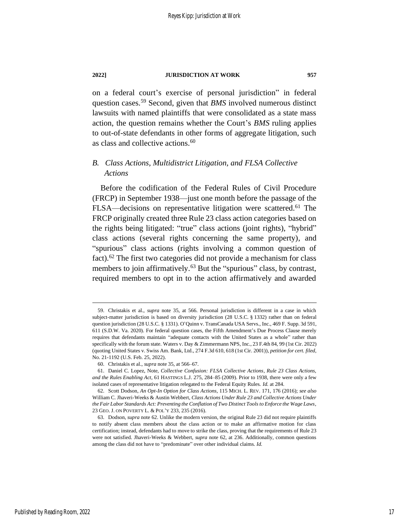on a federal court's exercise of personal jurisdiction" in federal question cases.<sup>59</sup> Second, given that *BMS* involved numerous distinct lawsuits with named plaintiffs that were consolidated as a state mass action, the question remains whether the Court's *BMS* ruling applies to out-of-state defendants in other forms of aggregate litigation, such as class and collective actions.<sup>60</sup>

### *B. Class Actions, Multidistrict Litigation, and FLSA Collective Actions*

<span id="page-17-1"></span>Before the codification of the Federal Rules of Civil Procedure (FRCP) in September 1938—just one month before the passage of the FLSA—decisions on representative litigation were scattered.<sup>61</sup> The FRCP originally created three Rule 23 class action categories based on the rights being litigated: "true" class actions (joint rights), "hybrid" class actions (several rights concerning the same property), and "spurious" class actions (rights involving a common question of fact).<sup>62</sup> The first two categories did not provide a mechanism for class members to join affirmatively.<sup>63</sup> But the "spurious" class, by contrast, required members to opt in to the action affirmatively and awarded

<span id="page-17-0"></span><sup>59.</sup> Christakis et al., *supra* note [35,](#page-12-0) at 566. Personal jurisdiction is different in a case in which subject-matter jurisdiction is based on diversity jurisdiction (28 U.S.C. § 1332) rather than on federal question jurisdiction (28 U.S.C. § 1331). O'Quinn v. TransCanada USA Servs., Inc., 469 F. Supp. 3d 591, 611 (S.D.W. Va. 2020). For federal question cases, the Fifth Amendment's Due Process Clause merely requires that defendants maintain "adequate contacts with the United States as a whole" rather than specifically with the forum state. Waters v. Day & Zimmermann NPS, Inc., 23 F.4th 84, 99 (1st Cir. 2022) (quoting United States v. Swiss Am. Bank, Ltd., 274 F.3d 610, 618 (1st Cir. 2001)), *petition for cert. filed*, No. 21-1192 (U.S. Feb. 25, 2022).

<sup>60.</sup> Christakis et al., *supra* note [35,](#page-12-0) at 566–67.

<sup>61.</sup> Daniel C. Lopez, Note, *Collective Confusion: FLSA Collective Actions, Rule 23 Class Actions, and the Rules Enabling Act*, 61 HASTINGS L.J. 275, 284–85 (2009). Prior to 1938, there were only a few isolated cases of representative litigation relegated to the Federal Equity Rules. *Id.* at 284.

<sup>62.</sup> Scott Dodson, *An Opt-In Option for Class Actions*, 115 MICH. L. REV. 171, 176 (2016); *see also* William C. Jhaveri-Weeks & Austin Webbert, *Class Actions Under Rule 23 and Collective Actions Under the Fair Labor Standards Act: Preventing the Conflation of Two Distinct Tools to Enforce the Wage Laws*, 23 GEO. J. ON POVERTY L. & POL'Y 233, 235 (2016).

<sup>63.</sup> Dodson, *supra* note [62.](#page-17-0) Unlike the modern version, the original Rule 23 did not require plaintiffs to notify absent class members about the class action or to make an affirmative motion for class certification; instead, defendants had to move to strike the class, proving that the requirements of Rule 23 were not satisfied. Jhaveri-Weeks & Webbert, *supra* note [62,](#page-17-0) at 236. Additionally, common questions among the class did not have to "predominate" over other individual claims. *Id.*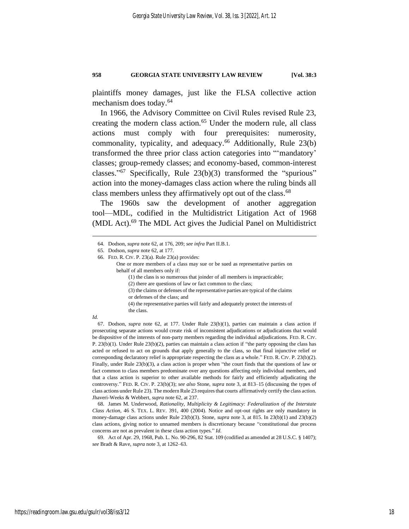plaintiffs money damages, just like the FLSA collective action mechanism does today.<sup>64</sup>

In 1966, the Advisory Committee on Civil Rules revised Rule 23, creating the modern class action.<sup>65</sup> Under the modern rule, all class actions must comply with four prerequisites: numerosity, commonality, typicality, and adequacy.<sup>66</sup> Additionally, Rule 23(b) transformed the three prior class action categories into "'mandatory' classes; group-remedy classes; and economy-based, common-interest classes." <sup>67</sup> Specifically, Rule 23(b)(3) transformed the "spurious" action into the money-damages class action where the ruling binds all class members unless they affirmatively opt out of the class. 68

The 1960s saw the development of another aggregation tool—MDL, codified in the Multidistrict Litigation Act of 1968 (MDL Act). <sup>69</sup> The MDL Act gives the Judicial Panel on Multidistrict

(2) there are questions of law or fact common to the class;

(3) the claims or defenses of the representative parties are typical of the claims

or defenses of the class; and

(4) the representative parties will fairly and adequately protect the interests of the class.

*Id.*

67. Dodson, *supra* note [62,](#page-17-0) at 177. Under Rule 23(b)(1), parties can maintain a class action if prosecuting separate actions would create risk of inconsistent adjudications or adjudications that would be dispositive of the interests of non-party members regarding the individual adjudications. FED. R. CIV. P. 23(b)(1). Under Rule 23(b)(2), parties can maintain a class action if "the party opposing the class has acted or refused to act on grounds that apply generally to the class, so that final injunctive relief or corresponding declaratory relief is appropriate respecting the class as a whole." FED. R. CIV. P. 23(b)(2). Finally, under Rule 23(b)(3), a class action is proper when "the court finds that the questions of law or fact common to class members predominate over any questions affecting only individual members, and that a class action is superior to other available methods for fairly and efficiently adjudicating the controversy." FED. R. CIV. P. 23(b)(3); *see also* Stone, *supra* not[e 3,](#page-4-0) at 813–15 (discussing the types of class actions under Rule 23). The modern Rule 23 requires that courts affirmatively certify the class action. Jhaveri-Weeks & Webbert, *supra* not[e 62,](#page-17-0) at 237.

68. James M. Underwood, *Rationality, Multiplicity & Legitimacy: Federalization of the Interstate Class Action*, 46 S. TEX. L. REV. 391, 400 (2004). Notice and opt-out rights are only mandatory in money-damage class actions under Rule 23(b)(3). Stone, *supra* note [3,](#page-4-0) at 815. In 23(b)(1) and 23(b)(2) class actions, giving notice to unnamed members is discretionary because "constitutional due process concerns are not as prevalent in these class action types." *Id.*

69. Act of Apr. 29, 1968, Pub. L. No. 90-296, 82 Stat. 109 (codified as amended at 28 U.S.C. § 1407); *see* Bradt & Rave, *supra* note [3,](#page-4-0) at 1262–63.

<sup>64.</sup> Dodson, *supra* note [62,](#page-17-0) at 176, 209; *see infra* Part II.B.1.

<sup>65.</sup> Dodson, *supra* note [62,](#page-17-0) at 177.

<sup>66.</sup> FED. R. CIV. P. 23(a). Rule 23(a) provides:

One or more members of a class may sue or be sued as representative parties on behalf of all members only if:

<sup>(1)</sup> the class is so numerous that joinder of all members is impracticable;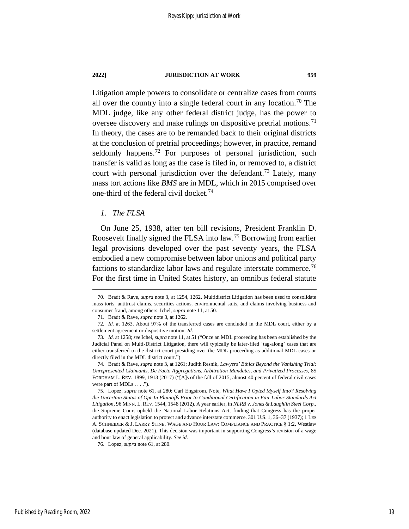Litigation ample powers to consolidate or centralize cases from courts all over the country into a single federal court in any location. <sup>70</sup> The MDL judge, like any other federal district judge, has the power to oversee discovery and make rulings on dispositive pretrial motions.<sup>71</sup> In theory, the cases are to be remanded back to their original districts at the conclusion of pretrial proceedings; however, in practice, remand seldomly happens.<sup>72</sup> For purposes of personal jurisdiction, such transfer is valid as long as the case is filed in, or removed to, a district court with personal jurisdiction over the defendant.<sup>73</sup> Lately, many mass tort actions like *BMS* are in MDL, which in 2015 comprised over one-third of the federal civil docket.<sup>74</sup>

### <span id="page-19-1"></span><span id="page-19-0"></span>*1. The FLSA*

On June 25, 1938, after ten bill revisions, President Franklin D. Roosevelt finally signed the FLSA into law.<sup>75</sup> Borrowing from earlier legal provisions developed over the past seventy years, the FLSA embodied a new compromise between labor unions and political party factions to standardize labor laws and regulate interstate commerce.<sup>76</sup> For the first time in United States history, an omnibus federal statute

<sup>70.</sup> Bradt & Rave, *supra* note [3,](#page-4-0) at 1254, 1262. Multidistrict Litigation has been used to consolidate mass torts, antitrust claims, securities actions, environmental suits, and claims involving business and consumer fraud, among others. Ichel, *supra* not[e 11,](#page-6-0) at 50.

<sup>71.</sup> Bradt & Rave, *supra* not[e 3,](#page-4-0) at 1262.

<sup>72</sup>*. Id.* at 1263. About 97% of the transferred cases are concluded in the MDL court, either by a settlement agreement or dispositive motion. *Id.*

<sup>73</sup>*. Id.* at 1258; *see* Ichel, *supra* not[e 11,](#page-6-0) at 51 ("Once an MDL proceeding has been established by the Judicial Panel on Multi-District Litigation, there will typically be later-filed 'tag-along' cases that are either transferred to the district court presiding over the MDL proceeding as additional MDL cases or directly filed in the MDL district court.").

<sup>74.</sup> Bradt & Rave, *supra* not[e 3,](#page-4-0) at 1261; Judith Resnik, *Lawyers' Ethics Beyond the Vanishing Trial: Unrepresented Claimants, De Facto Aggregations, Arbitration Mandates, and Privatized Processes*, 85 FORDHAM L. REV. 1899, 1913 (2017) ("[A]s of the fall of 2015, almost 40 percent of federal civil cases were part of MDLs . . . .").

<sup>75.</sup> Lopez, *supra* note [61,](#page-17-1) at 280; Carl Engstrom, Note, *What Have I Opted Myself Into? Resolving the Uncertain Status of Opt-In Plaintiffs Prior to Conditional Certification in Fair Labor Standards Act Litigation*, 96 MINN. L. REV. 1544, 1548 (2012). A year earlier, in *NLRB v. Jones & Laughlin Steel Corp.*, the Supreme Court upheld the National Labor Relations Act, finding that Congress has the proper authority to enact legislation to protect and advance interstate commerce. 301 U.S. 1, 36–37 (1937); 1 LES A. SCHNEIDER & J. LARRY STINE, WAGE AND HOUR LAW: COMPLIANCE AND PRACTICE § 1:2, Westlaw (database updated Dec. 2021). This decision was important in supporting Congress's revision of a wage and hour law of general applicability. *See id.*

<sup>76.</sup> Lopez, *supra* note [61,](#page-17-1) at 280.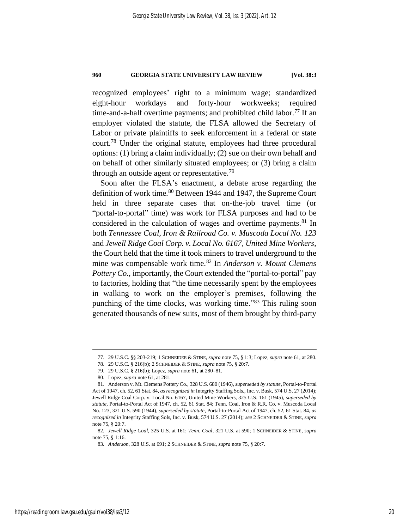recognized employees' right to a minimum wage; standardized eight-hour workdays and forty-hour workweeks; required time-and-a-half overtime payments; and prohibited child labor.<sup>77</sup> If an employer violated the statute, the FLSA allowed the Secretary of Labor or private plaintiffs to seek enforcement in a federal or state court.<sup>78</sup> Under the original statute, employees had three procedural options: (1) bring a claim individually; (2) sue on their own behalf and on behalf of other similarly situated employees; or (3) bring a claim through an outside agent or representative.<sup>79</sup>

Soon after the FLSA's enactment, a debate arose regarding the definition of work time.<sup>80</sup> Between 1944 and 1947, the Supreme Court held in three separate cases that on-the-job travel time (or "portal-to-portal" time) was work for FLSA purposes and had to be considered in the calculation of wages and overtime payments.<sup>81</sup> In both *Tennessee Coal, Iron & Railroad Co. v. Muscoda Local No. 123* and *Jewell Ridge Coal Corp. v. Local No. 6167, United Mine Workers*, the Court held that the time it took miners to travel underground to the mine was compensable work time.<sup>82</sup> In *Anderson v. Mount Clemens Pottery Co.*, importantly, the Court extended the "portal-to-portal" pay to factories, holding that "the time necessarily spent by the employees in walking to work on the employer's premises, following the punching of the time clocks, was working time."<sup>83</sup> This ruling soon generated thousands of new suits, most of them brought by third-party

<sup>77.</sup> 29 U.S.C. §§ 203-219; 1 SCHNEIDER & STINE, *supra* not[e 75,](#page-19-0) § 1:3; Lopez, *supra* not[e 61,](#page-17-1) at 280.

<sup>78.</sup> 29 U.S.C. § 216(b); 2 SCHNEIDER & STINE, *supra* not[e 75,](#page-19-0) § 20:7.

<sup>79.</sup> 29 U.S.C. § 216(b); Lopez, *supra* note [61,](#page-17-1) at 280–81.

<sup>80.</sup> Lopez, *supra* note [61,](#page-17-1) at 281.

<sup>81.</sup> Anderson v. Mt. Clemens Pottery Co., 328 U.S. 680 (1946), *superseded by statute*, Portal-to-Portal Act of 1947, ch. 52, 61 Stat. 84, *as recognized in* Integrity Staffing Sols., Inc. v. Busk, 574 U.S. 27 (2014); Jewell Ridge Coal Corp. v. Local No. 6167, United Mine Workers, 325 U.S. 161 (1945), *superseded by statute*, Portal-to-Portal Act of 1947, ch. 52, 61 Stat. 84; Tenn. Coal, Iron & R.R. Co. v. Muscoda Local No. 123, 321 U.S. 590 (1944), *superseded by statute*, Portal-to-Portal Act of 1947, ch. 52, 61 Stat. 84, *as recognized in* Integrity Staffing Sols, Inc. v. Busk, 574 U.S. 27 (2014); *see* 2 SCHNEIDER & STINE, *supra*  not[e 75,](#page-19-0) § 20:7.

<sup>82</sup>*. Jewell Ridge Coal*, 325 U.S. at 161; *Tenn. Coal*, 321 U.S. at 590; 1 SCHNEIDER & STINE, *supra*  not[e 75,](#page-19-0) § 1:16.

<sup>83</sup>*. Anderson*, 328 U.S. at 691; 2 SCHNEIDER & STINE, *supra* note [75,](#page-19-0) § 20:7.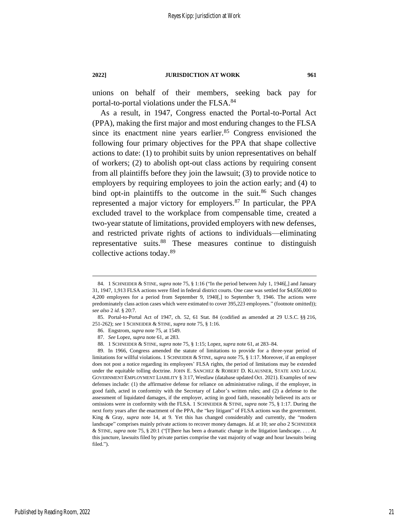unions on behalf of their members, seeking back pay for portal-to-portal violations under the FLSA.<sup>84</sup>

As a result, in 1947, Congress enacted the Portal-to-Portal Act (PPA), making the first major and most enduring changes to the FLSA since its enactment nine years earlier. $85$  Congress envisioned the following four primary objectives for the PPA that shape collective actions to date: (1) to prohibit suits by union representatives on behalf of workers; (2) to abolish opt-out class actions by requiring consent from all plaintiffs before they join the lawsuit; (3) to provide notice to employers by requiring employees to join the action early; and (4) to bind opt-in plaintiffs to the outcome in the suit. $86$  Such changes represented a major victory for employers.<sup>87</sup> In particular, the PPA excluded travel to the workplace from compensable time, created a two-year statute of limitations, provided employers with new defenses, and restricted private rights of actions to individuals—eliminating representative suits.<sup>88</sup> These measures continue to distinguish collective actions today.<sup>89</sup>

<span id="page-21-0"></span><sup>84.</sup> 1 SCHNEIDER & STINE, *supra* not[e 75,](#page-19-0) § 1:16 ("In the period between July 1, 1946[,] and January 31, 1947, 1,913 FLSA actions were filed in federal district courts. One case was settled for \$4,656,000 to 4,200 employees for a period from September 9, 1940[,] to September 9, 1946. The actions were predominately class action cases which were estimated to cover 395,223 employees." (footnote omitted)); *see also* 2 *id.* § 20:7.

<sup>85.</sup> Portal-to-Portal Act of 1947, ch. 52, 61 Stat. 84 (codified as amended at 29 U.S.C. §§ 216, 251-262); *see* 1 SCHNEIDER & STINE, *supra* not[e 75,](#page-19-0) § 1:16.

<sup>86.</sup> Engstrom, *supra* not[e 75,](#page-19-0) at 1549.

<sup>87</sup>*. See* Lopez, *supra* note [61,](#page-17-1) at 283.

<sup>88.</sup> 1 SCHNEIDER & STINE, *supra* not[e 75,](#page-19-0) § 1:15; Lopez, *supra* not[e 61,](#page-17-1) at 283–84.

<sup>89.</sup> In 1966, Congress amended the statute of limitations to provide for a three-year period of limitations for willful violations. 1 SCHNEIDER & STINE, *supra* not[e 75,](#page-19-0) § 1:17. Moreover, if an employer does not post a notice regarding its employees' FLSA rights, the period of limitations may be extended under the equitable tolling doctrine. JOHN E. SANCHEZ & ROBERT D. KLAUSNER, STATE AND LOCAL GOVERNMENT EMPLOYMENT LIABILITY § 3:17, Westlaw (database updated Oct. 2021). Examples of new defenses include: (1) the affirmative defense for reliance on administrative rulings, if the employer, in good faith, acted in conformity with the Secretary of Labor's written rules; and (2) a defense to the assessment of liquidated damages, if the employer, acting in good faith, reasonably believed its acts or omissions were in conformity with the FLSA. 1 SCHNEIDER & STINE, *supra* not[e 75,](#page-19-0) § 1:17. During the next forty years after the enactment of the PPA, the "key litigant" of FLSA actions was the government. King & Gray, *supra* note [14,](#page-7-0) at 9. Yet this has changed considerably and currently, the "modern landscape" comprises mainly private actions to recover money damages. *Id.* at 10; *see also* 2 SCHNEIDER & STINE, *supra* note [75,](#page-19-0) § 20:1 ("[T]here has been a dramatic change in the litigation landscape. . . . At this juncture, lawsuits filed by private parties comprise the vast majority of wage and hour lawsuits being filed.").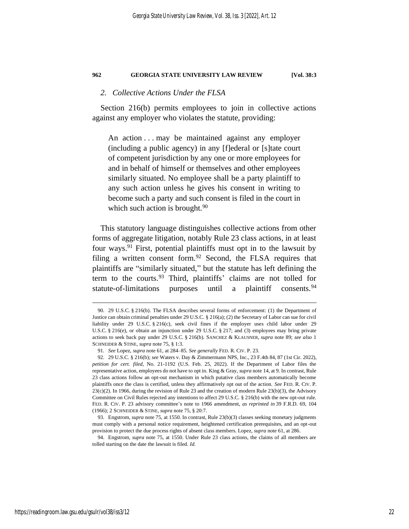### *2. Collective Actions Under the FLSA*

Section 216(b) permits employees to join in collective actions against any employer who violates the statute, providing:

An action . . . may be maintained against any employer (including a public agency) in any [f]ederal or [s]tate court of competent jurisdiction by any one or more employees for and in behalf of himself or themselves and other employees similarly situated. No employee shall be a party plaintiff to any such action unless he gives his consent in writing to become such a party and such consent is filed in the court in which such action is brought. $90$ 

This statutory language distinguishes collective actions from other forms of aggregate litigation, notably Rule 23 class actions, in at least four ways. <sup>91</sup> First, potential plaintiffs must opt in to the lawsuit by filing a written consent form.<sup>92</sup> Second, the FLSA requires that plaintiffs are "similarly situated," but the statute has left defining the term to the courts.<sup>93</sup> Third, plaintiffs' claims are not tolled for statute-of-limitations purposes until a plaintiff consents.<sup>94</sup>

<sup>90.</sup> 29 U.S.C. § 216(b). The FLSA describes several forms of enforcement: (1) the Department of Justice can obtain criminal penalties under 29 U.S.C. § 216(a); (2) the Secretary of Labor can sue for civil liability under 29 U.S.C. § 216(c), seek civil fines if the employer uses child labor under 29 U.S.C. § 216(e), or obtain an injunction under 29 U.S.C. § 217; and (3) employees may bring private actions to seek back pay under 29 U.S.C. § 216(b). SANCHEZ & KLAUSNER, *supra* note [89;](#page-21-0) *see also* 1 SCHNEIDER & STINE, *supra* not[e 75,](#page-19-0) § 1:3.

<sup>91</sup>*. See* Lopez, *supra* note [61,](#page-17-1) at 284–85. *See generally* FED. R. CIV. P. 23.

<sup>92.</sup> 29 U.S.C. § 216(b); *see* Waters v. Day & Zimmermann NPS, Inc., 23 F.4th 84, 87 (1st Cir. 2022), *petition for cert. filed*, No. 21-1192 (U.S. Feb. 25, 2022). If the Department of Labor files the representative action, employees do not have to opt in. King & Gray, *supra* not[e 14,](#page-7-0) at 9. In contrast, Rule 23 class actions follow an opt-out mechanism in which putative class members automatically become plaintiffs once the class is certified, unless they affirmatively opt out of the action. *See* FED. R. CIV. P.  $23(c)(2)$ . In 1966, during the revision of Rule 23 and the creation of modern Rule  $23(b)(3)$ , the Advisory Committee on Civil Rules rejected any intentions to affect 29 U.S.C. § 216(b) with the new opt-out rule. FED. R. CIV. P. 23 advisory committee's note to 1966 amendment, *as reprinted in* 39 F.R.D. 69, 104 (1966); 2 SCHNEIDER & STINE, *supra* note [75,](#page-19-0) § 20:7.

<sup>93.</sup> Engstrom, *supra* not[e 75,](#page-19-0) at 1550. In contrast, Rule 23(b)(3) classes seeking monetary judgments must comply with a personal notice requirement, heightened certification prerequisites, and an opt-out provision to protect the due process rights of absent class members. Lopez, *supra* not[e 61,](#page-17-1) at 286.

<sup>94.</sup> Engstrom, *supra* note [75,](#page-19-0) at 1550. Under Rule 23 class actions, the claims of all members are tolled starting on the date the lawsuit is filed. *Id.*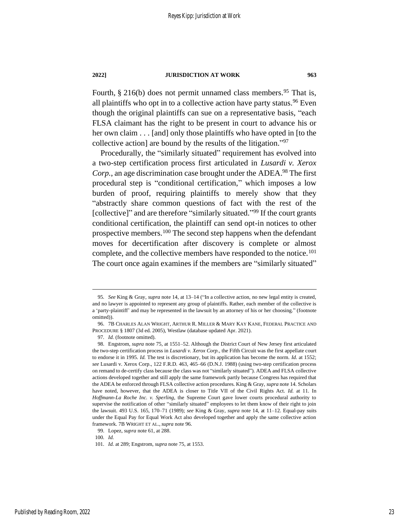<span id="page-23-0"></span>Fourth,  $\S 216(b)$  does not permit unnamed class members.<sup>95</sup> That is, all plaintiffs who opt in to a collective action have party status.<sup>96</sup> Even though the original plaintiffs can sue on a representative basis, "each FLSA claimant has the right to be present in court to advance his or her own claim . . . [and] only those plaintiffs who have opted in [to the collective action] are bound by the results of the litigation." 97

Procedurally, the "similarly situated" requirement has evolved into a two-step certification process first articulated in *Lusardi v. Xerox Corp.*, an age discrimination case brought under the ADEA.<sup>98</sup> The first procedural step is "conditional certification," which imposes a low burden of proof, requiring plaintiffs to merely show that they "abstractly share common questions of fact with the rest of the [collective]" and are therefore "similarly situated."<sup>99</sup> If the court grants conditional certification, the plaintiff can send opt-in notices to other prospective members.<sup>100</sup> The second step happens when the defendant moves for decertification after discovery is complete or almost complete, and the collective members have responded to the notice.<sup>101</sup> The court once again examines if the members are "similarly situated"

97*. Id.* (footnote omitted).

<sup>95</sup>*. See* King & Gray, *supra* note [14,](#page-7-0) at 13–14 ("In a collective action, no new legal entity is created, and no lawyer is appointed to represent any group of plaintiffs. Rather, each member of the collective is a 'party-plaintiff' and may be represented in the lawsuit by an attorney of his or her choosing." (footnote omitted)).

<sup>96.</sup> 7B CHARLES ALAN WRIGHT, ARTHUR R. MILLER & MARY KAY KANE, FEDERAL PRACTICE AND PROCEDURE § 1807 (3d ed. 2005), Westlaw (database updated Apr. 2021).

<sup>98.</sup> Engstrom, *supra* not[e 75,](#page-19-0) at 1551–52. Although the District Court of New Jersey first articulated the two-step certification process in *Lusardi v. Xerox Corp.*, the Fifth Circuit was the first appellate court to endorse it in 1995. *Id.* The test is discretionary, but its application has become the norm. *Id.* at 1552; *see* Lusardi v. Xerox Corp., 122 F.R.D. 463, 465–66 (D.N.J. 1988) (using two-step certification process on remand to de-certify class because the class was not "similarly situated"). ADEA and FLSA collective actions developed together and still apply the same framework partly because Congress has required that the ADEA be enforced through FLSA collective action procedures. King & Gray, *supra* not[e 14.](#page-7-0) Scholars have noted, however, that the ADEA is closer to Title VII of the Civil Rights Act. *Id.* at 11. In *Hoffmann-La Roche Inc. v. Sperling*, the Supreme Court gave lower courts procedural authority to supervise the notification of other "similarly situated" employees to let them know of their right to join the lawsuit. 493 U.S. 165, 170–71 (1989); *see* King & Gray, *supra* note [14,](#page-7-0) at 11–12. Equal-pay suits under the Equal Pay for Equal Work Act also developed together and apply the same collective action framework. 7B WRIGHT ET AL.,*supra* not[e 96.](#page-23-0)

<sup>99.</sup> Lopez, *supra* note [61,](#page-17-1) at 288.

<sup>100</sup>*. Id.*

<sup>101</sup>*. Id.* at 289; Engstrom, *supra* note [75,](#page-19-0) at 1553.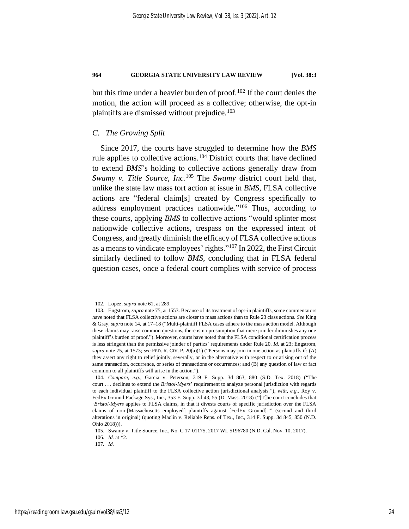but this time under a heavier burden of proof.<sup>102</sup> If the court denies the motion, the action will proceed as a collective; otherwise, the opt-in plaintiffs are dismissed without prejudice.<sup>103</sup>

### *C. The Growing Split*

Since 2017, the courts have struggled to determine how the *BMS* rule applies to collective actions.<sup>104</sup> District courts that have declined to extend *BMS*'s holding to collective actions generally draw from *Swamy v. Title Source, Inc.*<sup>105</sup> The *Swamy* district court held that, unlike the state law mass tort action at issue in *BMS*, FLSA collective actions are "federal claim[s] created by Congress specifically to address employment practices nationwide."<sup>106</sup> Thus, according to these courts, applying *BMS* to collective actions "would splinter most nationwide collective actions, trespass on the expressed intent of Congress, and greatly diminish the efficacy of FLSA collective actions as a means to vindicate employees' rights."<sup>107</sup> In 2022, the First Circuit similarly declined to follow *BMS*, concluding that in FLSA federal question cases, once a federal court complies with service of process

107*. Id.*

<sup>102.</sup> Lopez, *supra* note [61,](#page-17-1) at 289.

<sup>103.</sup> Engstrom, *supra* not[e 75,](#page-19-0) at 1553. Because of its treatment of opt-in plaintiffs, some commentators have noted that FLSA collective actions are closer to mass actions than to Rule 23 class actions. *See* King & Gray, *supra* note [14,](#page-7-0) at 17–18 ("Multi-plaintiff FLSA cases adhere to the mass action model. Although these claims may raise common questions, there is no presumption that mere joinder diminishes any one plaintiff's burden of proof."). Moreover, courts have noted that the FLSA conditional certification process is less stringent than the permissive joinder of parties' requirements under Rule 20. *Id.* at 23; Engstrom, *supra* not[e 75,](#page-19-0) at 1573; *see* FED. R. CIV. P. 20(a)(1) ("Persons may join in one action as plaintiffs if: (A) they assert any right to relief jointly, severally, or in the alternative with respect to or arising out of the same transaction, occurrence, or series of transactions or occurrences; and (B) any question of law or fact common to all plaintiffs will arise in the action.").

<sup>104</sup>*. Compare, e.g.*, Garcia v. Peterson, 319 F. Supp. 3d 863, 880 (S.D. Tex. 2018) ("The court . . . declines to extend the *Bristol-Myers*' requirement to analyze personal jurisdiction with regards to each individual plaintiff to the FLSA collective action jurisdictional analysis."), *with, e.g.*, Roy v. FedEx Ground Package Sys., Inc., 353 F. Supp. 3d 43, 55 (D. Mass. 2018) ("[T]he court concludes that '*Bristol-Myers* applies to FLSA claims, in that it divests courts of specific jurisdiction over the FLSA claims of non-[Massachusetts employed] plaintiffs against [FedEx Ground].'" (second and third alterations in original) (quoting Maclin v. Reliable Reps. of Tex., Inc., 314 F. Supp. 3d 845, 850 (N.D. Ohio 2018))).

<sup>105.</sup> Swamy v. Title Source, Inc., No. C 17-01175, 2017 WL 5196780 (N.D. Cal. Nov. 10, 2017). 106*. Id.* at \*2.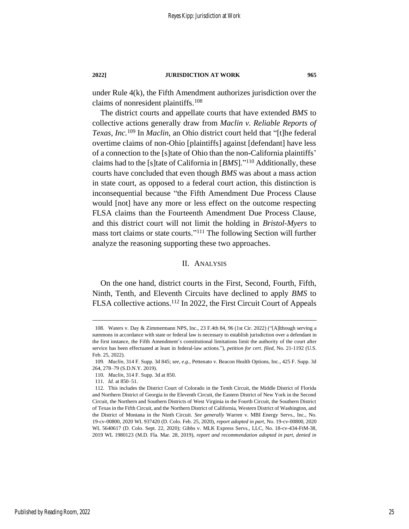under Rule 4(k), the Fifth Amendment authorizes jurisdiction over the claims of nonresident plaintiffs. 108

The district courts and appellate courts that have extended *BMS* to collective actions generally draw from *Maclin v. Reliable Reports of Texas, Inc.*<sup>109</sup> In *Maclin*, an Ohio district court held that "[t]he federal overtime claims of non-Ohio [plaintiffs] against [defendant] have less of a connection to the [s]tate of Ohio than the non-California plaintiffs' claims had to the [s]tate of California in [*BMS*]." <sup>110</sup> Additionally, these courts have concluded that even though *BMS* was about a mass action in state court, as opposed to a federal court action, this distinction is inconsequential because "the Fifth Amendment Due Process Clause would [not] have any more or less effect on the outcome respecting FLSA claims than the Fourteenth Amendment Due Process Clause, and this district court will not limit the holding in *Bristol-Myers* to mass tort claims or state courts." <sup>111</sup> The following Section will further analyze the reasoning supporting these two approaches.

### II. ANALYSIS

On the one hand, district courts in the First, Second, Fourth, Fifth, Ninth, Tenth, and Eleventh Circuits have declined to apply *BMS* to FLSA collective actions.<sup>112</sup> In 2022, the First Circuit Court of Appeals

<sup>108.</sup> Waters v. Day & Zimmermann NPS, Inc., 23 F.4th 84, 96 (1st Cir. 2022) ("[A]lthough serving a summons in accordance with state or federal law is necessary to establish jurisdiction over a defendant in the first instance, the Fifth Amendment's constitutional limitations limit the authority of the court after service has been effectuated at least in federal-law actions."), *petition for cert. filed*, No. 21-1192 (U.S. Feb. 25, 2022).

<sup>109</sup>*. Maclin*, 314 F. Supp. 3d 845; *see, e.g.*, Pettenato v. Beacon Health Options, Inc., 425 F. Supp. 3d 264, 278–79 (S.D.N.Y. 2019).

<sup>110</sup>*. Maclin*, 314 F. Supp. 3d at 850.

<sup>111</sup>*. Id.* at 850–51.

<sup>112.</sup> This includes the District Court of Colorado in the Tenth Circuit, the Middle District of Florida and Northern District of Georgia in the Eleventh Circuit, the Eastern District of New York in the Second Circuit, the Northern and Southern Districts of West Virginia in the Fourth Circuit, the Southern District of Texas in the Fifth Circuit, and the Northern District of California, Western District of Washington, and the District of Montana in the Ninth Circuit. *See generally* Warren v. MBI Energy Servs., Inc., No. 19-cv-00800, 2020 WL 937420 (D. Colo. Feb. 25, 2020), *report adopted in part*, No. 19-cv-00800, 2020 WL 5640617 (D. Colo. Sept. 22, 2020); Gibbs v. MLK Express Servs., LLC, No. 18-cv-434-FtM-38, 2019 WL 1980123 (M.D. Fla. Mar. 28, 2019), *report and recommendation adopted in part, denied in*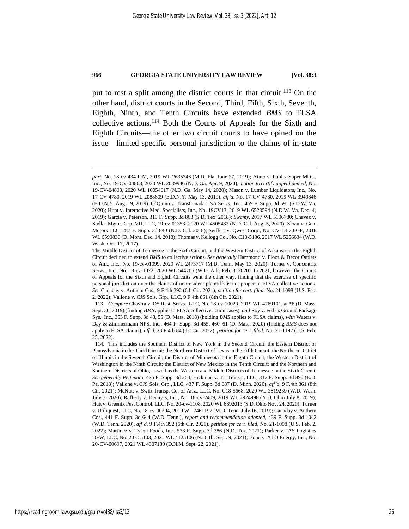put to rest a split among the district courts in that circuit. <sup>113</sup> On the other hand, district courts in the Second, Third, Fifth, Sixth, Seventh, Eighth, Ninth, and Tenth Circuits have extended *BMS* to FLSA collective actions.<sup>114</sup> Both the Courts of Appeals for the Sixth and Eighth Circuits—the other two circuit courts to have opined on the issue—limited specific personal jurisdiction to the claims of in-state

*part*, No. 18-cv-434-FtM, 2019 WL 2635746 (M.D. Fla. June 27, 2019); Aiuto v. Publix Super Mkts., Inc., No. 19-CV-04803, 2020 WL 2039946 (N.D. Ga. Apr. 9, 2020), *motion to certify appeal denied*, No. 19-CV-04803, 2020 WL 10054617 (N.D. Ga. May 14, 2020); Mason v. Lumber Liquidators, Inc., No. 17-CV-4780, 2019 WL 2088609 (E.D.N.Y. May 13, 2019), *aff'd*, No. 17-CV-4780, 2019 WL 3940846 (E.D.N.Y. Aug. 19, 2019); O'Quinn v. TransCanada USA Servs., Inc., 469 F. Supp. 3d 591 (S.D.W. Va. 2020); Hunt v. Interactive Med. Specialists, Inc., No. 19CV13, 2019 WL 6528594 (N.D.W. Va. Dec. 4, 2019); Garcia v. Peterson, 319 F. Supp. 3d 863 (S.D. Tex. 2018); *Swamy*, 2017 WL 5196780; Chavez v. Stellar Mgmt. Grp. VII, LLC, 19-cv-01353, 2020 WL 4505482 (N.D. Cal. Aug. 5, 2020); Sloan v. Gen. Motors LLC, 287 F. Supp. 3d 840 (N.D. Cal. 2018); Seiffert v. Qwest Corp., No. CV-18-70-GF, 2018 WL 6590836 (D. Mont. Dec. 14, 2018); Thomas v. Kellogg Co., No. C13-5136, 2017 WL 5256634 (W.D. Wash. Oct. 17, 2017).

The Middle District of Tennessee in the Sixth Circuit, and the Western District of Arkansas in the Eighth Circuit declined to extend *BMS* to collective actions. *See generally* Hammond v. Floor & Decor Outlets of Am., Inc., No. 19-cv-01099, 2020 WL 2473717 (M.D. Tenn. May 13, 2020); Turner v. Concentrix Servs., Inc., No. 18-cv-1072, 2020 WL 544705 (W.D. Ark. Feb. 3, 2020). In 2021, however, the Courts of Appeals for the Sixth and Eighth Circuits went the other way, finding that the exercise of specific personal jurisdiction over the claims of nonresident plaintiffs is not proper in FLSA collective actions. *See* Canaday v. Anthem Cos., 9 F.4th 392 (6th Cir. 2021), *petition for cert. filed*, No. 21-1098 (U.S. Feb. 2, 2022); Vallone v. CJS Sols. Grp., LLC, 9 F.4th 861 (8th Cir. 2021).

<sup>113</sup>*. Compare* Chavira v. OS Rest. Servs., LLC, No. 18-cv-10029, 2019 WL 4769101, at \*6 (D. Mass. Sept. 30, 2019) (finding *BMS* applies to FLSA collective action cases), *and* Roy v. FedEx Ground Package Sys., Inc., 353 F. Supp. 3d 43, 55 (D. Mass. 2018) (holding *BMS* applies to FLSA claims), *with* Waters v. Day & Zimmermann NPS, Inc., 464 F. Supp. 3d 455, 460–61 (D. Mass. 2020) (finding *BMS* does not apply to FLSA claims), *aff'd*, 23 F.4th 84 (1st Cir. 2022), *petition for cert. filed*, No. 21-1192 (U.S. Feb. 25, 2022).

<sup>114.</sup> This includes the Southern District of New York in the Second Circuit; the Eastern District of Pennsylvania in the Third Circuit; the Northern District of Texas in the Fifth Circuit; the Northern District of Illinois in the Seventh Circuit; the District of Minnesota in the Eighth Circuit; the Western District of Washington in the Ninth Circuit; the District of New Mexico in the Tenth Circuit; and the Northern and Southern Districts of Ohio, as well as the Western and Middle Districts of Tennessee in the Sixth Circuit. *See generally Pettenato*, 425 F. Supp. 3d 264; Hickman v. TL Transp., LLC, 317 F. Supp. 3d 890 (E.D. Pa. 2018); Vallone v. CJS Sols. Grp., LLC, 437 F. Supp. 3d 687 (D. Minn. 2020), *aff'd*, 9 F.4th 861 (8th Cir. 2021); McNutt v. Swift Transp. Co. of Ariz., LLC, No. C18-5668, 2020 WL 3819239 (W.D. Wash. July 7, 2020); Rafferty v. Denny's, Inc., No. 18-cv-2409, 2019 WL 2924998 (N.D. Ohio July 8, 2019); Hutt v. Greenix Pest Control, LLC, No. 20-cv-1108, 2020 WL 6892013 (S.D. Ohio Nov. 24, 2020); Turner v. Utiliquest, LLC, No. 18-cv-00294, 2019 WL 7461197 (M.D. Tenn. July 16, 2019); Canaday v. Anthem Cos., 441 F. Supp. 3d 644 (W.D. Tenn.), *report and recommendation adopted*, 439 F. Supp. 3d 1042 (W.D. Tenn. 2020), *aff'd*, 9 F.4th 392 (6th Cir. 2021), *petition for cert. filed*, No. 21-1098 (U.S. Feb. 2, 2022); Martinez v. Tyson Foods, Inc., 533 F. Supp. 3d 386 (N.D. Tex. 2021); Parker v. IAS Logistics DFW, LLC, No. 20 C 5103, 2021 WL 4125106 (N.D. Ill. Sept. 9, 2021); Bone v. XTO Energy, Inc., No. 20-CV-00697, 2021 WL 4307130 (D.N.M. Sept. 22, 2021).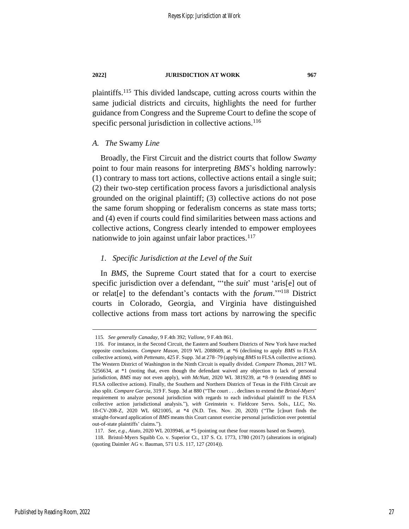plaintiffs. <sup>115</sup> This divided landscape, cutting across courts within the same judicial districts and circuits, highlights the need for further guidance from Congress and the Supreme Court to define the scope of specific personal jurisdiction in collective actions.<sup>116</sup>

### *A. The* Swamy *Line*

Broadly, the First Circuit and the district courts that follow *Swamy* point to four main reasons for interpreting *BMS*'s holding narrowly: (1) contrary to mass tort actions, collective actions entail a single suit; (2) their two-step certification process favors a jurisdictional analysis grounded on the original plaintiff; (3) collective actions do not pose the same forum shopping or federalism concerns as state mass torts; and (4) even if courts could find similarities between mass actions and collective actions, Congress clearly intended to empower employees nationwide to join against unfair labor practices. $117$ 

### *1. Specific Jurisdiction at the Level of the Suit*

In *BMS*, the Supreme Court stated that for a court to exercise specific jurisdiction over a defendant, "'the *suit*' must 'aris[e] out of or relat[e] to the defendant's contacts with the *forum*.'" <sup>118</sup> District courts in Colorado, Georgia, and Virginia have distinguished collective actions from mass tort actions by narrowing the specific

<sup>115</sup>*. See generally Canaday*, 9 F.4th 392; *Vallone*, 9 F.4th 861.

<sup>116.</sup> For instance, in the Second Circuit, the Eastern and Southern Districts of New York have reached opposite conclusions. *Compare Mason*, 2019 WL 2088609, at \*6 (declining to apply *BMS* to FLSA collective actions), *with Pettenato*, 425 F. Supp. 3d at 278–79 (applying *BMS* to FLSA collective actions). The Western District of Washington in the Ninth Circuit is equally divided. *Compare Thomas*, 2017 WL 5256634, at \*1 (noting that, even though the defendant waived any objection to lack of personal jurisdiction, *BMS* may not even apply), *with McNutt*, 2020 WL 3819239, at \*8–9 (extending *BMS* to FLSA collective actions). Finally, the Southern and Northern Districts of Texas in the Fifth Circuit are also split. *Compare Garcia*, 319 F. Supp. 3d at 880 ("The court . . . declines to extend the *Bristol-Myers*' requirement to analyze personal jurisdiction with regards to each individual plaintiff to the FLSA collective action jurisdictional analysis."), *with* Greinstein v. Fieldcore Servs. Sols., LLC, No. 18-CV-208-Z, 2020 WL 6821005, at \*4 (N.D. Tex. Nov. 20, 2020) ("The [c]ourt finds the straight-forward application of *BMS* means this Court cannot exercise personal jurisdiction over potential out-of-state plaintiffs' claims.").

<sup>117</sup>*. See, e.g.*, *Aiuto*, 2020 WL 2039946, at \*5 (pointing out these four reasons based on *Swamy*).

<sup>118.</sup> Bristol-Myers Squibb Co. v. Superior Ct., 137 S. Ct. 1773, 1780 (2017) (alterations in original) (quoting Daimler AG v. Bauman, 571 U.S. 117, 127 (2014)).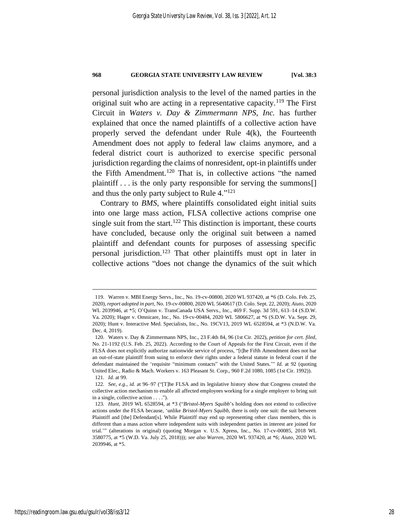personal jurisdiction analysis to the level of the named parties in the original suit who are acting in a representative capacity.<sup>119</sup> The First Circuit in *Waters v. Day & Zimmermann NPS, Inc.* has further explained that once the named plaintiffs of a collective action have properly served the defendant under Rule 4(k), the Fourteenth Amendment does not apply to federal law claims anymore, and a federal district court is authorized to exercise specific personal jurisdiction regarding the claims of nonresident, opt-in plaintiffs under the Fifth Amendment.<sup>120</sup> That is, in collective actions "the named plaintiff . . . is the only party responsible for serving the summons[] and thus the only party subject to Rule 4." 121

Contrary to *BMS*, where plaintiffs consolidated eight initial suits into one large mass action, FLSA collective actions comprise one single suit from the start.<sup>122</sup> This distinction is important, these courts have concluded, because only the original suit between a named plaintiff and defendant counts for purposes of assessing specific personal jurisdiction.<sup>123</sup> That other plaintiffs must opt in later in collective actions "does not change the dynamics of the suit which

<sup>119.</sup> Warren v. MBI Energy Servs., Inc., No. 19-cv-00800, 2020 WL 937420, at \*6 (D. Colo. Feb. 25, 2020), *report adopted in part*, No. 19-cv-00800, 2020 WL 5640617 (D. Colo. Sept. 22, 2020); *Aiuto*, 2020 WL 2039946, at \*5; O'Quinn v. TransCanada USA Servs., Inc., 469 F. Supp. 3d 591, 613–14 (S.D.W. Va. 2020); Hager v. Omnicare, Inc., No. 19-cv-00484, 2020 WL 5806627, at \*6 (S.D.W. Va. Sept. 29, 2020); Hunt v. Interactive Med. Specialists, Inc., No. 19CV13, 2019 WL 6528594, at \*3 (N.D.W. Va. Dec. 4, 2019).

<sup>120.</sup> Waters v. Day & Zimmermann NPS, Inc., 23 F.4th 84, 96 (1st Cir. 2022), *petition for cert. filed*, No. 21-1192 (U.S. Feb. 25, 2022). According to the Court of Appeals for the First Circuit, even if the FLSA does not explicitly authorize nationwide service of process, "[t]he Fifth Amendment does not bar an out-of-state plaintiff from suing to enforce their rights under a federal statute in federal court if the defendant maintained the 'requisite "minimum contacts" with the United States.'" *Id.* at 92 (quoting United Elec., Radio & Mach. Workers v. 163 Pleasant St. Corp., 960 F.2d 1080, 1085 (1st Cir. 1992)). 121*. Id.* at 99.

<sup>122</sup>*. See, e.g.*, *id.* at 96–97 ("[T]he FLSA and its legislative history show that Congress created the collective action mechanism to enable all affected employees working for a single employer to bring suit in a single, collective action . . . .").

<sup>123</sup>*. Hunt*, 2019 WL 6528594, at \*3 ("*Bristol-Myers Squibb*'s holding does not extend to collective actions under the FLSA because, 'unlike *Bristol-Myers Squibb*, there is only one suit: the suit between Plaintiff and [the] Defendant[s]. While Plaintiff may end up representing other class members, this is different than a mass action where independent suits with independent parties in interest are joined for trial.'" (alterations in original) (quoting Morgan v. U.S. Xpress, Inc., No. 17-cv-00085, 2018 WL 3580775, at \*5 (W.D. Va. July 25, 2018))); *see also Warren*, 2020 WL 937420, at \*6; *Aiuto*, 2020 WL 2039946, at \*5.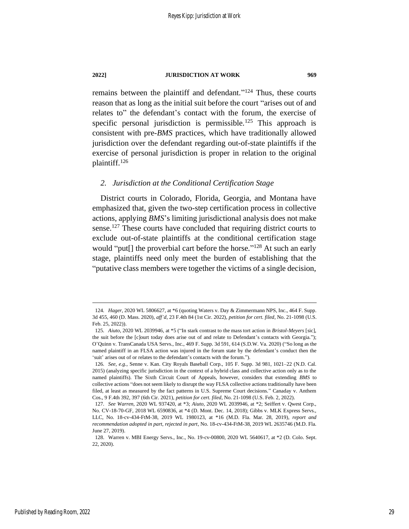remains between the plaintiff and defendant."<sup>124</sup> Thus, these courts reason that as long as the initial suit before the court "arises out of and relates to" the defendant's contact with the forum, the exercise of specific personal jurisdiction is permissible.<sup>125</sup> This approach is consistent with pre-*BMS* practices, which have traditionally allowed jurisdiction over the defendant regarding out-of-state plaintiffs if the exercise of personal jurisdiction is proper in relation to the original plaintiff.<sup>126</sup>

### *2. Jurisdiction at the Conditional Certification Stage*

District courts in Colorado, Florida, Georgia, and Montana have emphasized that, given the two-step certification process in collective actions, applying *BMS*'s limiting jurisdictional analysis does not make sense.<sup>127</sup> These courts have concluded that requiring district courts to exclude out-of-state plaintiffs at the conditional certification stage would "put[] the proverbial cart before the horse."<sup>128</sup> At such an early stage, plaintiffs need only meet the burden of establishing that the "putative class members were together the victims of a single decision,

<sup>124</sup>*. Hager*, 2020 WL 5806627, at \*6 (quoting Waters v. Day & Zimmermann NPS, Inc., 464 F. Supp. 3d 455, 460 (D. Mass. 2020), *aff'd*, 23 F.4th 84 (1st Cir. 2022), *petition for cert. filed*, No. 21-1098 (U.S. Feb. 25, 2022)).

<sup>125</sup>*. Aiuto*, 2020 WL 2039946, at \*5 ("In stark contrast to the mass tort action in *Bristol-Meyers* [sic], the suit before the [c]ourt today does arise out of and relate to Defendant's contacts with Georgia."); O'Quinn v. TransCanada USA Servs., Inc., 469 F. Supp. 3d 591, 614 (S.D.W. Va. 2020) ("So long as the named plaintiff in an FLSA action was injured in the forum state by the defendant's conduct then the 'suit' arises out of or relates to the defendant's contacts with the forum.").

<sup>126</sup>*. See, e.g.*, Senne v. Kan. City Royals Baseball Corp., 105 F. Supp. 3d 981, 1021–22 (N.D. Cal. 2015) (analyzing specific jurisdiction in the context of a hybrid class and collective action only as to the named plaintiffs). The Sixth Circuit Court of Appeals, however, considers that extending *BMS* to collective actions "does not seem likely to disrupt the way FLSA collective actions traditionally have been filed, at least as measured by the fact patterns in U.S. Supreme Court decisions." Canaday v. Anthem Cos., 9 F.4th 392, 397 (6th Cir. 2021), *petition for cert. filed*, No. 21-1098 (U.S. Feb. 2, 2022).

<sup>127</sup>*. See Warren*, 2020 WL 937420, at \*3; *Aiuto*, 2020 WL 2039946, at \*2; Seiffert v. Qwest Corp., No. CV-18-70-GF, 2018 WL 6590836, at \*4 (D. Mont. Dec. 14, 2018); Gibbs v. MLK Express Servs., LLC, No. 18-cv-434-FtM-38, 2019 WL 1980123, at \*16 (M.D. Fla. Mar. 28, 2019), *report and recommendation adopted in part, rejected in part*, No. 18-cv-434-FtM-38, 2019 WL 2635746 (M.D. Fla. June 27, 2019).

<sup>128.</sup> Warren v. MBI Energy Servs., Inc., No. 19-cv-00800, 2020 WL 5640617, at \*2 (D. Colo. Sept. 22, 2020).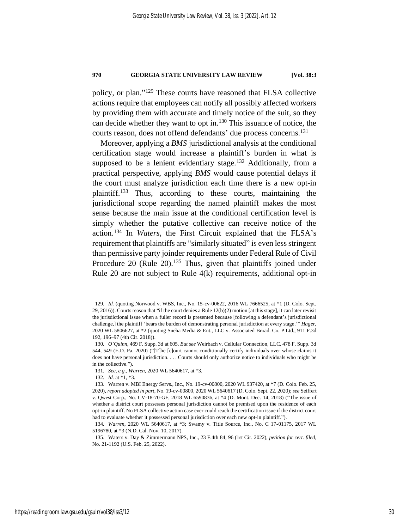policy, or plan." <sup>129</sup> These courts have reasoned that FLSA collective actions require that employees can notify all possibly affected workers by providing them with accurate and timely notice of the suit, so they can decide whether they want to opt in.<sup>130</sup> This issuance of notice, the courts reason, does not offend defendants' due process concerns.<sup>131</sup>

Moreover, applying a *BMS* jurisdictional analysis at the conditional certification stage would increase a plaintiff's burden in what is supposed to be a lenient evidentiary stage.<sup>132</sup> Additionally, from a practical perspective, applying *BMS* would cause potential delays if the court must analyze jurisdiction each time there is a new opt-in plaintiff.<sup>133</sup> Thus, according to these courts, maintaining the jurisdictional scope regarding the named plaintiff makes the most sense because the main issue at the conditional certification level is simply whether the putative collective can receive notice of the action.<sup>134</sup> In *Waters*, the First Circuit explained that the FLSA's requirement that plaintiffs are "similarly situated" is even less stringent than permissive party joinder requirements under Federal Rule of Civil Procedure 20 (Rule 20).<sup>135</sup> Thus, given that plaintiffs joined under Rule 20 are not subject to Rule 4(k) requirements, additional opt-in

<sup>129</sup>*. Id.* (quoting Norwood v. WBS, Inc., No. 15-cv-00622, 2016 WL 7666525, at \*1 (D. Colo. Sept. 29, 2016)). Courts reason that "if the court denies a Rule 12(b)(2) motion [at this stage], it can later revisit the jurisdictional issue when a fuller record is presented because [following a defendant's jurisdictional challenge,] the plaintiff 'bears the burden of demonstrating personal jurisdiction at every stage.'" *Hager*, 2020 WL 5806627, at \*2 (quoting Sneha Media & Ent., LLC v. Associated Broad. Co. P Ltd., 911 F.3d 192, 196–97 (4th Cir. 2018)).

<sup>130</sup>*. O'Quinn*, 469 F. Supp. 3d at 605. *But see* Weirbach v. Cellular Connection, LLC, 478 F. Supp. 3d 544, 549 (E.D. Pa. 2020) ("[T]he [c]ourt cannot conditionally certify individuals over whose claims it does not have personal jurisdiction. . . . Courts should only authorize notice to individuals who might be in the collective.").

<sup>131</sup>*. See, e.g.*, *Warren*, 2020 WL 5640617, at \*3.

<sup>132</sup>*. Id.* at \*1, \*3.

<sup>133.</sup> Warren v. MBI Energy Servs., Inc., No. 19-cv-00800, 2020 WL 937420, at \*7 (D. Colo. Feb. 25, 2020), *report adopted in part*, No. 19-cv-00800, 2020 WL 5640617 (D. Colo. Sept. 22, 2020); *see* Seiffert v. Qwest Corp., No. CV-18-70-GF, 2018 WL 6590836, at \*4 (D. Mont. Dec. 14, 2018) ("The issue of whether a district court possesses personal jurisdiction cannot be premised upon the residence of each opt-in plaintiff. No FLSA collective action case ever could reach the certification issue if the district court had to evaluate whether it possessed personal jurisdiction over each new opt-in plaintiff.").

<sup>134</sup>*. Warren*, 2020 WL 5640617, at \*3; Swamy v. Title Source, Inc., No. C 17-01175, 2017 WL 5196780, at \*3 (N.D. Cal. Nov. 10, 2017).

<sup>135.</sup> Waters v. Day & Zimmermann NPS, Inc., 23 F.4th 84, 96 (1st Cir. 2022), *petition for cert. filed*, No. 21-1192 (U.S. Feb. 25, 2022).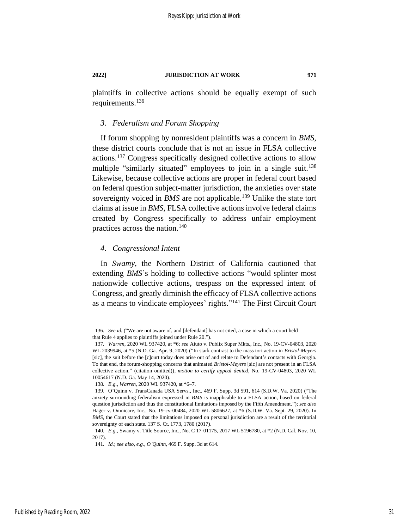plaintiffs in collective actions should be equally exempt of such requirements. 136

### *3. Federalism and Forum Shopping*

If forum shopping by nonresident plaintiffs was a concern in *BMS*, these district courts conclude that is not an issue in FLSA collective actions.<sup>137</sup> Congress specifically designed collective actions to allow multiple "similarly situated" employees to join in a single suit.<sup>138</sup> Likewise, because collective actions are proper in federal court based on federal question subject-matter jurisdiction, the anxieties over state sovereignty voiced in *BMS* are not applicable.<sup>139</sup> Unlike the state tort claims at issue in *BMS*, FLSA collective actions involve federal claims created by Congress specifically to address unfair employment practices across the nation.<sup>140</sup>

### *4. Congressional Intent*

In *Swamy*, the Northern District of California cautioned that extending *BMS*'s holding to collective actions "would splinter most nationwide collective actions, trespass on the expressed intent of Congress, and greatly diminish the efficacy of FLSA collective actions as a means to vindicate employees' rights."<sup>141</sup> The First Circuit Court

<sup>136</sup>*. See id.* ("We are not aware of, and [defendant] has not cited, a case in which a court held that Rule 4 applies to plaintiffs joined under Rule 20.").

<sup>137</sup>*. Warren*, 2020 WL 937420, at \*6; *see* Aiuto v. Publix Super Mkts., Inc., No. 19-CV-04803, 2020 WL 2039946, at \*5 (N.D. Ga. Apr. 9, 2020) ("In stark contrast to the mass tort action in *Bristol-Meyers* [sic], the suit before the [c]ourt today does arise out of and relate to Defendant's contacts with Georgia. To that end, the forum-shopping concerns that animated *Bristol-Meyers* [sic] are not present in an FLSA collective action." (citation omitted)), *motion to certify appeal denied*, No. 19-CV-04803, 2020 WL 10054617 (N.D. Ga. May 14, 2020).

<sup>138</sup>*. E.g.*, *Warren*, 2020 WL 937420, at \*6–7.

<sup>139.</sup> O'Quinn v. TransCanada USA Servs., Inc., 469 F. Supp. 3d 591, 614 (S.D.W. Va. 2020) ("The anxiety surrounding federalism expressed in *BMS* is inapplicable to a FLSA action, based on federal question jurisdiction and thus the constitutional limitations imposed by the Fifth Amendment."); *see also* Hager v. Omnicare, Inc., No. 19-cv-00484, 2020 WL 5806627, at \*6 (S.D.W. Va. Sept. 29, 2020). In *BMS*, the Court stated that the limitations imposed on personal jurisdiction are a result of the territorial sovereignty of each state. 137 S. Ct. 1773, 1780 (2017).

<sup>140</sup>*. E.g.*, Swamy v. Title Source, Inc., No. C 17-01175, 2017 WL 5196780, at \*2 (N.D. Cal. Nov. 10, 2017).

<sup>141</sup>*. Id.*; *see also, e.g.*, *O'Quinn*, 469 F. Supp. 3d at 614.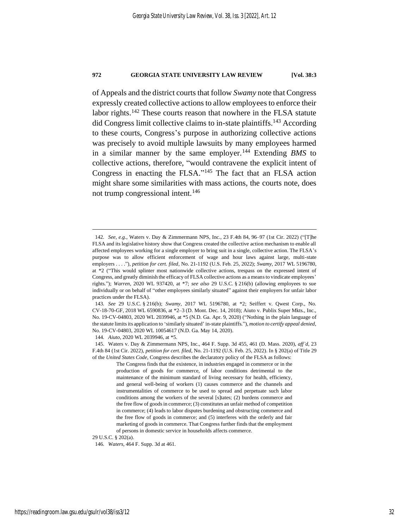of Appeals and the district courts that follow *Swamy* note that Congress expressly created collective actions to allow employees to enforce their labor rights.<sup>142</sup> These courts reason that nowhere in the FLSA statute did Congress limit collective claims to in-state plaintiffs.<sup>143</sup> According to these courts, Congress's purpose in authorizing collective actions was precisely to avoid multiple lawsuits by many employees harmed in a similar manner by the same employer.<sup>144</sup> Extending *BMS* to collective actions, therefore, "would contravene the explicit intent of Congress in enacting the FLSA."<sup>145</sup> The fact that an FLSA action might share some similarities with mass actions, the courts note, does not trump congressional intent.<sup>146</sup>

<sup>142</sup>*. See, e.g.*, Waters v. Day & Zimmermann NPS, Inc., 23 F.4th 84, 96–97 (1st Cir. 2022) ("[T]he FLSA and its legislative history show that Congress created the collective action mechanism to enable all affected employees working for a single employer to bring suit in a single, collective action. The FLSA's purpose was to allow efficient enforcement of wage and hour laws against large, multi-state employers . . . ."), *petition for cert. filed*, No. 21-1192 (U.S. Feb. 25, 2022); *Swamy*, 2017 WL 5196780, at \*2 ("This would splinter most nationwide collective actions, trespass on the expressed intent of Congress, and greatly diminish the efficacy of FLSA collective actions as a means to vindicate employees' rights."); *Warren*, 2020 WL 937420, at \*7; *see also* 29 U.S.C. § 216(b) (allowing employees to sue individually or on behalf of "other employees similarly situated" against their employers for unfair labor practices under the FLSA).

<sup>143</sup>*. See* 29 U.S.C. § 216(b); *Swamy*, 2017 WL 5196780, at \*2; Seiffert v. Qwest Corp., No. CV-18-70-GF, 2018 WL 6590836, at \*2–3 (D. Mont. Dec. 14, 2018); Aiuto v. Publix Super Mkts., Inc., No. 19-CV-04803, 2020 WL 2039946, at \*5 (N.D. Ga. Apr. 9, 2020) ("Nothing in the plain language of the statute limits its application to 'similarly situated' in-state plaintiffs."), *motion to certify appeal denied*, No. 19-CV-04803, 2020 WL 10054617 (N.D. Ga. May 14, 2020).

<sup>144</sup>*. Aiuto*, 2020 WL 2039946, at \*5.

<sup>145.</sup> Waters v. Day & Zimmermann NPS, Inc., 464 F. Supp. 3d 455, 461 (D. Mass. 2020), *aff'd*, 23 F.4th 84 (1st Cir. 2022), *petition for cert. filed*, No. 21-1192 (U.S. Feb. 25, 2022). In § 202(a) of Title 29 of the *United States Code*, Congress describes the declaratory policy of the FLSA as follows:

The Congress finds that the existence, in industries engaged in commerce or in the production of goods for commerce, of labor conditions detrimental to the maintenance of the minimum standard of living necessary for health, efficiency, and general well-being of workers (1) causes commerce and the channels and instrumentalities of commerce to be used to spread and perpetuate such labor conditions among the workers of the several [s]tates; (2) burdens commerce and the free flow of goods in commerce; (3) constitutes an unfair method of competition in commerce; (4) leads to labor disputes burdening and obstructing commerce and the free flow of goods in commerce; and (5) interferes with the orderly and fair marketing of goods in commerce. That Congress further finds that the employment of persons in domestic service in households affects commerce.

<sup>29</sup> U.S.C. § 202(a).

<sup>146</sup>*. Waters*, 464 F. Supp. 3d at 461.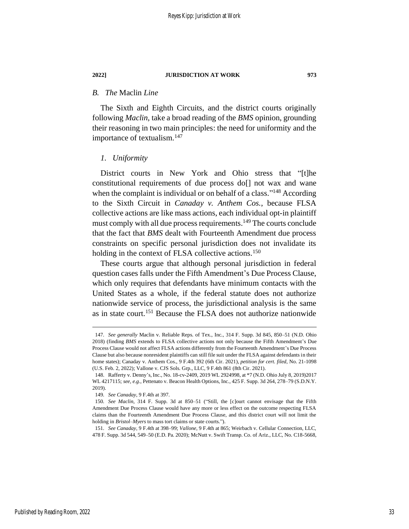### *B. The* Maclin *Line*

The Sixth and Eighth Circuits, and the district courts originally following *Maclin*, take a broad reading of the *BMS* opinion, grounding their reasoning in two main principles: the need for uniformity and the importance of textualism.<sup>147</sup>

### *1. Uniformity*

District courts in New York and Ohio stress that "[t]he constitutional requirements of due process do[] not wax and wane when the complaint is individual or on behalf of a class."<sup>148</sup> According to the Sixth Circuit in *Canaday v. Anthem Cos.*, because FLSA collective actions are like mass actions, each individual opt-in plaintiff must comply with all due process requirements.<sup>149</sup> The courts conclude that the fact that *BMS* dealt with Fourteenth Amendment due process constraints on specific personal jurisdiction does not invalidate its holding in the context of FLSA collective actions.<sup>150</sup>

These courts argue that although personal jurisdiction in federal question cases falls under the Fifth Amendment's Due Process Clause, which only requires that defendants have minimum contacts with the United States as a whole, if the federal statute does not authorize nationwide service of process, the jurisdictional analysis is the same as in state court.<sup>151</sup> Because the FLSA does not authorize nationwide

Published by Reading Room, 2022

<sup>147</sup>*. See generally* Maclin v. Reliable Reps. of Tex., Inc., 314 F. Supp. 3d 845, 850–51 (N.D. Ohio 2018) (finding *BMS* extends to FLSA collective actions not only because the Fifth Amendment's Due Process Clause would not affect FLSA actions differently from the Fourteenth Amendment's Due Process Clause but also because nonresident plaintiffs can still file suit under the FLSA against defendants in their home states); Canaday v. Anthem Cos., 9 F.4th 392 (6th Cir. 2021), *petition for cert. filed*, No. 21-1098 (U.S. Feb. 2, 2022); Vallone v. CJS Sols. Grp., LLC, 9 F.4th 861 (8th Cir. 2021).

<sup>148.</sup> Rafferty v. Denny's, Inc., No. 18-cv-2409, 2019 WL 2924998, at \*7 (N.D. Ohio July 8, 2019)2017 WL 4217115; *see, e.g.*, Pettenato v. Beacon Health Options, Inc., 425 F. Supp. 3d 264, 278–79 (S.D.N.Y. 2019).

<sup>149</sup>*. See Canaday*, 9 F.4th at 397.

<sup>150</sup>*. See Maclin*, 314 F. Supp. 3d at 850–51 ("Still, the [c]ourt cannot envisage that the Fifth Amendment Due Process Clause would have any more or less effect on the outcome respecting FLSA claims than the Fourteenth Amendment Due Process Clause, and this district court will not limit the holding in *Bristol–Myers* to mass tort claims or state courts.").

<sup>151</sup>*. See Canaday*, 9 F.4th at 398–99; *Vallone*, 9 F.4th at 865; Weirbach v. Cellular Connection, LLC, 478 F. Supp. 3d 544, 549–50 (E.D. Pa. 2020); McNutt v. Swift Transp. Co. of Ariz., LLC, No. C18-5668,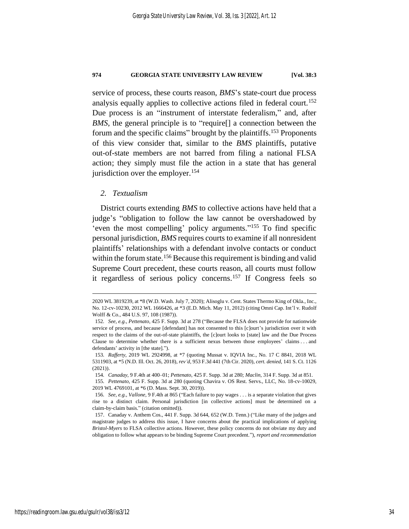service of process, these courts reason, *BMS*'s state-court due process analysis equally applies to collective actions filed in federal court.<sup>152</sup> Due process is an "instrument of interstate federalism," and, after *BMS*, the general principle is to "require<sup>[]</sup> a connection between the forum and the specific claims" brought by the plaintiffs.<sup>153</sup> Proponents of this view consider that, similar to the *BMS* plaintiffs, putative out-of-state members are not barred from filing a national FLSA action; they simply must file the action in a state that has general jurisdiction over the employer.<sup>154</sup>

### *2. Textualism*

District courts extending *BMS* to collective actions have held that a judge's "obligation to follow the law cannot be overshadowed by 'even the most compelling' policy arguments." <sup>155</sup> To find specific personal jurisdiction, *BMS* requires courts to examine if all nonresident plaintiffs' relationships with a defendant involve contacts or conduct within the forum state.<sup>156</sup> Because this requirement is binding and valid Supreme Court precedent, these courts reason, all courts must follow it regardless of serious policy concerns.<sup>157</sup> If Congress feels so

<sup>2020</sup> WL 3819239, at \*8 (W.D. Wash. July 7, 2020); Alisoglu v. Cent. States Thermo King of Okla., Inc., No. 12-cv-10230, 2012 WL 1666426, at \*3 (E.D. Mich. May 11, 2012) (citing Omni Cap. Int'l v. Rudolf Wolff & Co., 484 U.S. 97, 108 (1987)).

<sup>152</sup>*. See, e.g.*, *Pettenato*, 425 F. Supp. 3d at 278 ("Because the FLSA does not provide for nationwide service of process, and because [defendant] has not consented to this [c]ourt's jurisdiction over it with respect to the claims of the out-of-state plaintiffs, the [c]ourt looks to [state] law and the Due Process Clause to determine whether there is a sufficient nexus between those employees' claims . . . and defendants' activity in [the state].").

<sup>153</sup>*. Rafferty*, 2019 WL 2924998, at \*7 (quoting Mussat v. IQVIA Inc., No. 17 C 8841, 2018 WL 5311903, at \*5 (N.D. Ill. Oct. 26, 2018), *rev'd*, 953 F.3d 441 (7th Cir. 2020), *cert. denied*, 141 S. Ct. 1126 (2021)).

<sup>154</sup>*. Canaday*, 9 F.4th at 400–01; *Pettenato*, 425 F. Supp. 3d at 280; *Maclin*, 314 F. Supp. 3d at 851.

<sup>155</sup>*. Pettenato*, 425 F. Supp. 3d at 280 (quoting Chavira v. OS Rest. Servs., LLC, No. 18-cv-10029, 2019 WL 4769101, at \*6 (D. Mass. Sept. 30, 2019)).

<sup>156</sup>*. See, e.g.*, *Vallone*, 9 F.4th at 865 ("Each failure to pay wages . . . is a separate violation that gives rise to a distinct claim. Personal jurisdiction [in collective actions] must be determined on a claim-by-claim basis." (citation omitted)).

<sup>157.</sup> Canaday v. Anthem Cos., 441 F. Supp. 3d 644, 652 (W.D. Tenn.) ("Like many of the judges and magistrate judges to address this issue, I have concerns about the practical implications of applying *Bristol-Myers* to FLSA collective actions. However, these policy concerns do not obviate my duty and obligation to follow what appears to be binding Supreme Court precedent."), *report and recommendation*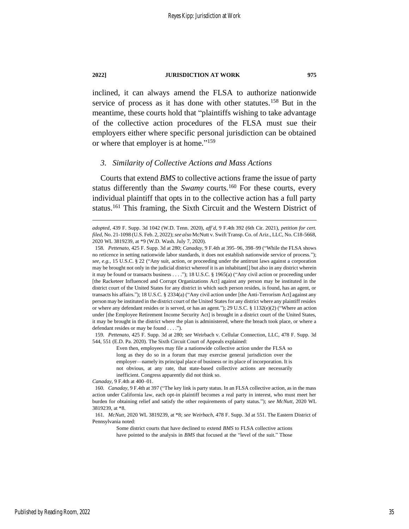inclined, it can always amend the FLSA to authorize nationwide service of process as it has done with other statutes.<sup>158</sup> But in the meantime, these courts hold that "plaintiffs wishing to take advantage of the collective action procedures of the FLSA must sue their employers either where specific personal jurisdiction can be obtained or where that employer is at home."<sup>159</sup>

### *3. Similarity of Collective Actions and Mass Actions*

Courts that extend *BMS* to collective actions frame the issue of party status differently than the *Swamy* courts.<sup>160</sup> For these courts, every individual plaintiff that opts in to the collective action has a full party status.<sup>161</sup> This framing, the Sixth Circuit and the Western District of

Even then, employees may file a nationwide collective action under the FLSA so long as they do so in a forum that may exercise general jurisdiction over the employer—namely its principal place of business or its place of incorporation. It is not obvious, at any rate, that state-based collective actions are necessarily inefficient. Congress apparently did not think so.

*Canaday*, 9 F.4th at 400–01.

Some district courts that have declined to extend *BMS* to FLSA collective actions have pointed to the analysis in *BMS* that focused at the "level of the suit." Those

*adopted*, 439 F. Supp. 3d 1042 (W.D. Tenn. 2020), *aff'd*, 9 F.4th 392 (6th Cir. 2021), *petition for cert. filed*, No. 21-1098 (U.S. Feb. 2, 2022); *see also* McNutt v. Swift Transp. Co. of Ariz., LLC, No. C18-5668, 2020 WL 3819239, at \*9 (W.D. Wash. July 7, 2020).

<sup>158</sup>*. Pettenato*, 425 F. Supp. 3d at 280; *Canaday*, 9 F.4th at 395–96, 398–99 ("While the FLSA shows no reticence in setting nationwide labor standards, it does not establish nationwide service of process."); *see, e.g.*, 15 U.S.C. § 22 ("Any suit, action, or proceeding under the antitrust laws against a corporation may be brought not only in the judicial district whereof it is an inhabitant[] but also in any district wherein it may be found or transacts business . . . ."); 18 U.S.C. § 1965(a) ("Any civil action or proceeding under [the Racketeer Influenced and Corrupt Organizations Act] against any person may be instituted in the district court of the United States for any district in which such person resides, is found, has an agent, or transacts his affairs."); 18 U.S.C. § 2334(a) ("Any civil action under [the Anti-Terrorism Act] against any person may be instituted in the district court of the United States for any district where any plaintiff resides or where any defendant resides or is served, or has an agent."); 29 U.S.C. § 1132(e)(2) ("Where an action under [the Employee Retirement Income Security Act] is brought in a district court of the United States, it may be brought in the district where the plan is administered, where the breach took place, or where a defendant resides or may be found . . . .").

<sup>159</sup>*. Pettenato*, 425 F. Supp. 3d at 280; *see* Weirbach v. Cellular Connection, LLC, 478 F. Supp. 3d 544, 551 (E.D. Pa. 2020). The Sixth Circuit Court of Appeals explained:

<sup>160</sup>*. Canaday*, 9 F.4th at 397 ("The key link is party status. In an FLSA collective action, as in the mass action under California law, each opt-in plaintiff becomes a real party in interest, who must meet her burden for obtaining relief and satisfy the other requirements of party status."); *see McNutt*, 2020 WL 3819239, at \*8.

<sup>161</sup>*. McNutt*, 2020 WL 3819239, at \*8; *see Weirbach*, 478 F. Supp. 3d at 551. The Eastern District of Pennsylvania noted: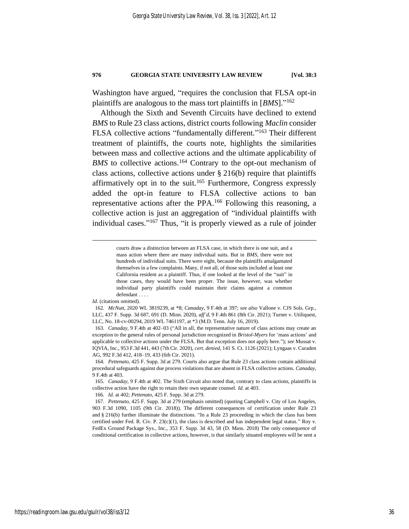Washington have argued, "requires the conclusion that FLSA opt-in plaintiffs are analogous to the mass tort plaintiffs in [*BMS*]." 162

<span id="page-36-0"></span>Although the Sixth and Seventh Circuits have declined to extend *BMS* to Rule 23 class actions, district courts following *Maclin* consider FLSA collective actions "fundamentally different."<sup>163</sup> Their different treatment of plaintiffs, the courts note, highlights the similarities between mass and collective actions and the ultimate applicability of BMS to collective actions.<sup>164</sup> Contrary to the opt-out mechanism of class actions, collective actions under § 216(b) require that plaintiffs affirmatively opt in to the suit.<sup>165</sup> Furthermore, Congress expressly added the opt-in feature to FLSA collective actions to ban representative actions after the PPA.<sup>166</sup> Following this reasoning, a collective action is just an aggregation of "individual plaintiffs with individual cases." <sup>167</sup> Thus, "it is properly viewed as a rule of joinder

*Id.* (citations omitted).

166*. Id.* at 402; *Pettenato*, 425 F. Supp. 3d at 279.

courts draw a distinction between an FLSA case, in which there is one suit, and a mass action where there are many individual suits. But in *BMS*, there were not hundreds of individual suits. There were eight, because the plaintiffs amalgamated themselves in a few complaints. Many, if not all, of those suits included at least one California resident as a plaintiff. Thus, if one looked at the level of the "suit" in those cases, they would have been proper. The issue, however, was whether individual party plaintiffs could maintain their claims against a common defendant . . . .

<sup>162</sup>*. McNutt*, 2020 WL 3819239, at \*8; *Canaday*, 9 F.4th at 397; *see also* Vallone v. CJS Sols. Grp., LLC, 437 F. Supp. 3d 687, 691 (D. Minn. 2020), *aff'd*, 9 F.4th 861 (8th Cir. 2021); Turner v. Utiliquest, LLC, No. 18-cv-00294, 2019 WL 7461197, at \*3 (M.D. Tenn. July 16, 2019).

<sup>163</sup>*. Canaday*, 9 F.4th at 402–03 ("All in all, the representative nature of class actions may create an exception to the general rules of personal jurisdiction recognized in *Bristol-Myers* for 'mass actions' and applicable to collective actions under the FLSA. But that exception does not apply here."); *see* Mussat v. IQVIA, Inc., 953 F.3d 441, 443 (7th Cir. 2020), *cert. denied*, 141 S. Ct. 1126 (2021); Lyngaas v. Curaden AG, 992 F.3d 412, 418–19, 433 (6th Cir. 2021).

<sup>164</sup>*. Pettenato*, 425 F. Supp. 3d at 279. Courts also argue that Rule 23 class actions contain additional procedural safeguards against due process violations that are absent in FLSA collective actions. *Canaday*, 9 F.4th at 403.

<sup>165</sup>*. Canaday*, 9 F.4th at 402. The Sixth Circuit also noted that, contrary to class actions, plaintiffs in collective action have the right to retain their own separate counsel. *Id.* at 403.

<sup>167</sup>*. Pettenato*, 425 F. Supp. 3d at 279 (emphasis omitted) (quoting Campbell v. City of Los Angeles, 903 F.3d 1090, 1105 (9th Cir. 2018)). The different consequences of certification under Rule 23 and § 216(b) further illuminate the distinctions. "In a Rule 23 proceeding in which the class has been certified under Fed. R. Civ. P.  $23(c)(1)$ , the class is described and has independent legal status." Roy v. FedEx Ground Package Sys., Inc., 353 F. Supp. 3d 43, 58 (D. Mass. 2018) The only consequence of conditional certification in collective actions, however, is that similarly situated employees will be sent a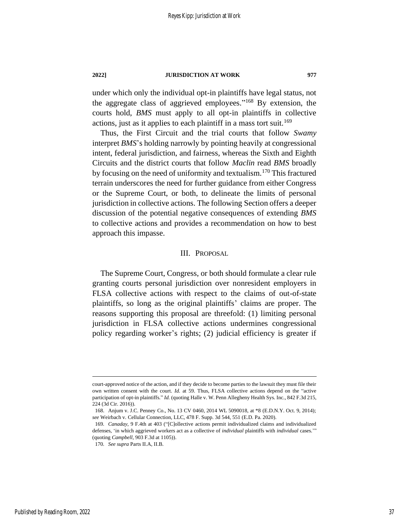under which only the individual opt-in plaintiffs have legal status, not the aggregate class of aggrieved employees." <sup>168</sup> By extension, the courts hold, *BMS* must apply to all opt-in plaintiffs in collective actions, just as it applies to each plaintiff in a mass tort suit.<sup>169</sup>

Thus, the First Circuit and the trial courts that follow *Swamy* interpret *BMS*'s holding narrowly by pointing heavily at congressional intent, federal jurisdiction, and fairness, whereas the Sixth and Eighth Circuits and the district courts that follow *Maclin* read *BMS* broadly by focusing on the need of uniformity and textualism.<sup>170</sup> This fractured terrain underscores the need for further guidance from either Congress or the Supreme Court, or both, to delineate the limits of personal jurisdiction in collective actions. The following Section offers a deeper discussion of the potential negative consequences of extending *BMS* to collective actions and provides a recommendation on how to best approach this impasse.

### III. PROPOSAL

The Supreme Court, Congress, or both should formulate a clear rule granting courts personal jurisdiction over nonresident employers in FLSA collective actions with respect to the claims of out-of-state plaintiffs, so long as the original plaintiffs' claims are proper. The reasons supporting this proposal are threefold: (1) limiting personal jurisdiction in FLSA collective actions undermines congressional policy regarding worker's rights; (2) judicial efficiency is greater if

court-approved notice of the action, and if they decide to become parties to the lawsuit they must file their own written consent with the court. *Id.* at 59. Thus, FLSA collective actions depend on the "active participation of opt-in plaintiffs." *Id.* (quoting Halle v. W. Penn Allegheny Health Sys. Inc., 842 F.3d 215, 224 (3d Cir. 2016)).

<sup>168.</sup> Anjum v. J.C. Penney Co., No. 13 CV 0460, 2014 WL 5090018, at \*8 (E.D.N.Y. Oct. 9, 2014); *see* Weirbach v. Cellular Connection, LLC, 478 F. Supp. 3d 544, 551 (E.D. Pa. 2020).

<sup>169</sup>*. Canaday*, 9 F.4th at 403 ("[C]ollective actions permit individualized claims and individualized defenses, 'in which aggrieved workers act as a collective of *individual* plaintiffs with *individual* cases.'" (quoting *Campbell*, 903 F.3d at 1105)).

<sup>170</sup>*. See supra* Parts II.A, II.B.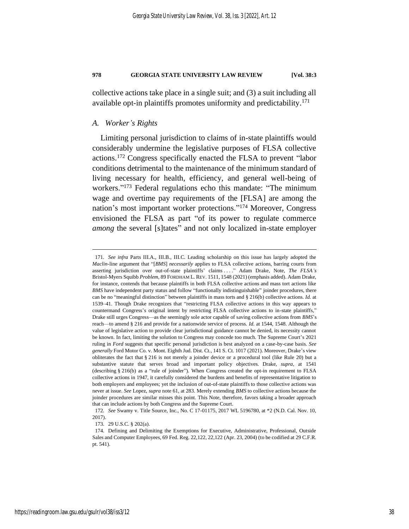collective actions take place in a single suit; and (3) a suit including all available opt-in plaintiffs promotes uniformity and predictability. 171

### *A. Worker's Rights*

Limiting personal jurisdiction to claims of in-state plaintiffs would considerably undermine the legislative purposes of FLSA collective actions.<sup>172</sup> Congress specifically enacted the FLSA to prevent "labor conditions detrimental to the maintenance of the minimum standard of living necessary for health, efficiency, and general well-being of workers."<sup>173</sup> Federal regulations echo this mandate: "The minimum wage and overtime pay requirements of the [FLSA] are among the nation's most important worker protections." <sup>174</sup> Moreover, Congress envisioned the FLSA as part "of its power to regulate commerce *among* the several [s]tates" and not only localized in-state employer

<sup>171</sup>*. See infra* Parts III.A., III.B., III.C. Leading scholarship on this issue has largely adopted the *Maclin*-line argument that "[*BMS*] *necessarily* applies to FLSA collective actions, barring courts from asserting jurisdiction over out-of-state plaintiffs' claims . . . ." Adam Drake, Note, *The FLSA's*  Bristol-Myers Squibb *Problem*, 89 FORDHAM L. REV. 1511, 1548 (2021) (emphasis added). Adam Drake, for instance, contends that because plaintiffs in both FLSA collective actions and mass tort actions like *BMS* have independent party status and follow "functionally indistinguishable" joinder procedures, there can be no "meaningful distinction" between plaintiffs in mass torts and § 216(b) collective actions. *Id.* at 1539–41. Though Drake recognizes that "restricting FLSA collective actions in this way appears to countermand Congress's original intent by restricting FLSA collective actions to in-state plaintiffs," Drake still urges Congress—as the seemingly sole actor capable of saving collective actions from *BMS*'s reach—to amend § 216 and provide for a nationwide service of process. *Id.* at 1544, 1548. Although the value of legislative action to provide clear jurisdictional guidance cannot be denied, its necessity cannot be known. In fact, limiting the solution to Congress may concede too much. The Supreme Court's 2021 ruling in *Ford* suggests that specific personal jurisdiction is best analyzed on a case-by-case basis. *See generally* Ford Motor Co. v. Mont. Eighth Jud. Dist. Ct., 141 S. Ct. 1017 (2021). Moreover, Drake's view obliterates the fact that § 216 is not merely a joinder device or a procedural tool (like Rule 20) but a substantive statute that serves broad and important policy objectives. Drake, *supra*, at 1541 (describing § 216(b) as a "rule of joinder"). When Congress created the opt-in requirement to FLSA collective actions in 1947, it carefully considered the burdens and benefits of representative litigation to both employers and employees; yet the inclusion of out-of-state plaintiffs to those collective actions was never at issue. *See* Lopez, *supra* note [61,](#page-17-1) at 283. Merely extending *BMS* to collective actions because the joinder procedures are similar misses this point. This Note, therefore, favors taking a broader approach that can include actions by both Congress and the Supreme Court.

<sup>172</sup>*. See* Swamy v. Title Source, Inc., No. C 17-01175, 2017 WL 5196780, at \*2 (N.D. Cal. Nov. 10, 2017).

<sup>173.</sup> 29 U.S.C. § 202(a).

<sup>174.</sup> Defining and Delimiting the Exemptions for Executive, Administrative, Professional, Outside Sales and Computer Employees, 69 Fed. Reg. 22,122, 22,122 (Apr. 23, 2004) (to be codified at 29 C.F.R. pt. 541).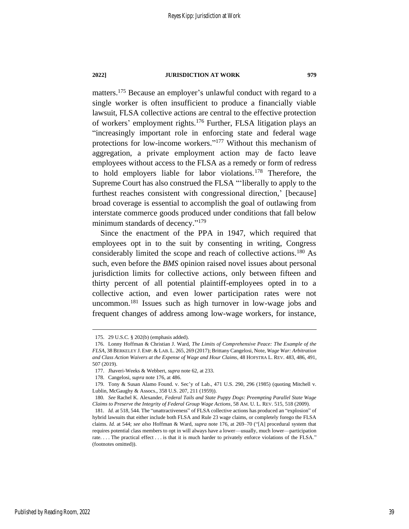<span id="page-39-0"></span>matters.<sup>175</sup> Because an employer's unlawful conduct with regard to a single worker is often insufficient to produce a financially viable lawsuit, FLSA collective actions are central to the effective protection of workers' employment rights.<sup>176</sup> Further, FLSA litigation plays an "increasingly important role in enforcing state and federal wage protections for low-income workers." <sup>177</sup> Without this mechanism of aggregation, a private employment action may de facto leave employees without access to the FLSA as a remedy or form of redress to hold employers liable for labor violations.<sup>178</sup> Therefore, the Supreme Court has also construed the FLSA "'liberally to apply to the furthest reaches consistent with congressional direction,' [because] broad coverage is essential to accomplish the goal of outlawing from interstate commerce goods produced under conditions that fall below minimum standards of decency."<sup>179</sup>

<span id="page-39-1"></span>Since the enactment of the PPA in 1947, which required that employees opt in to the suit by consenting in writing, Congress considerably limited the scope and reach of collective actions.<sup>180</sup> As such, even before the *BMS* opinion raised novel issues about personal jurisdiction limits for collective actions, only between fifteen and thirty percent of all potential plaintiff-employees opted in to a collective action, and even lower participation rates were not uncommon.<sup>181</sup> Issues such as high turnover in low-wage jobs and frequent changes of address among low-wage workers, for instance,

<span id="page-39-2"></span><sup>175.</sup> 29 U.S.C. § 202(b) (emphasis added).

<sup>176.</sup> Lonny Hoffman & Christian J. Ward, *The Limits of Comprehensive Peace: The Example of the FLSA*, 38 BERKELEY J. EMP. & LAB. L. 265, 269 (2017); Brittany Cangelosi, Note, *Wage War: Arbitration and Class Action Waivers at the Expense of Wage and Hour Claims*, 48 HOFSTRA L. REV. 483, 486, 491, 507 (2019).

<sup>177.</sup> Jhaveri-Weeks & Webbert, *supra* not[e 62,](#page-17-0) at 233.

<sup>178.</sup> Cangelosi, *supra* note [176,](#page-39-0) at 486.

<sup>179.</sup> Tony & Susan Alamo Found. v. Sec'y of Lab., 471 U.S. 290, 296 (1985) (quoting Mitchell v. Lublin, McGaughy & Assocs., 358 U.S. 207, 211 (1959)).

<sup>180</sup>*. See* Rachel K. Alexander, *Federal Tails and State Puppy Dogs: Preempting Parallel State Wage Claims to Preserve the Integrity of Federal Group Wage Actions*, 58 AM. U. L. REV. 515, 518 (2009).

<sup>181</sup>*. Id.* at 518, 544. The "unattractiveness" of FLSA collective actions has produced an "explosion" of hybrid lawsuits that either include both FLSA and Rule 23 wage claims, or completely forego the FLSA claims. *Id.* at 544; *see also* Hoffman & Ward, *supra* note [176,](#page-39-0) at 269–70 ("[A] procedural system that requires potential class members to opt in will always have a lower—usually, much lower—participation rate. . . . The practical effect . . . is that it is much harder to privately enforce violations of the FLSA." (footnotes omitted)).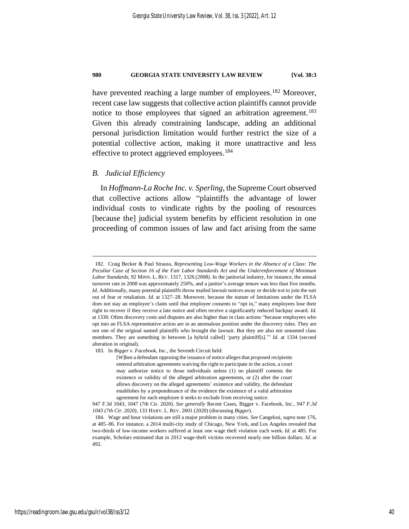<span id="page-40-0"></span>have prevented reaching a large number of employees.<sup>182</sup> Moreover, recent case law suggests that collective action plaintiffs cannot provide notice to those employees that signed an arbitration agreement.<sup>183</sup> Given this already constraining landscape, adding an additional personal jurisdiction limitation would further restrict the size of a potential collective action, making it more unattractive and less effective to protect aggrieved employees.<sup>184</sup>

### <span id="page-40-1"></span>*B. Judicial Efficiency*

In *Hoffmann-La Roche Inc. v. Sperling*, the Supreme Court observed that collective actions allow "plaintiffs the advantage of lower individual costs to vindicate rights by the pooling of resources [because the] judicial system benefits by efficient resolution in one proceeding of common issues of law and fact arising from the same

183. In *Bigger v. Facebook, Inc.*, the Seventh Circuit held:

<sup>182.</sup> Craig Becker & Paul Strauss, *Representing Low-Wage Workers in the Absence of a Class: The Peculiar Case of Section 16 of the Fair Labor Standards Act and the Underenforcement of Minimum Labor Standards*, 92 MINN. L. REV. 1317, 1326 (2008). In the janitorial industry, for instance, the annual turnover rate in 2008 was approximately 250%, and a janitor's average tenure was less than five months. *Id.* Additionally, many potential plaintiffs throw mailed lawsuit notices away or decide not to join the suit out of fear or retaliation. *Id.* at 1327–28. Moreover, because the statute of limitations under the FLSA does not stay an employee's claim until that employee consents to "opt in," many employees lose their right to recover if they receive a late notice and often receive a significantly reduced backpay award. *Id.* at 1330. Often discovery costs and disputes are also higher than in class actions "because employees who opt into an FLSA representative action are in an anomalous position under the discovery rules. They are not one of the original named plaintiffs who brought the lawsuit. But they are also not unnamed class members. They are something in between [a hybrid called] 'party plaintiff[s].'" *Id.* at 1334 (second alteration in original).

<sup>[</sup>W]hen a defendant opposing the issuance of notice alleges that proposed recipients entered arbitration agreements waiving the right to participate in the action, a court may authorize notice to those individuals unless (1) no plaintiff contests the existence or validity of the alleged arbitration agreements, or (2) after the court allows discovery on the alleged agreements' existence and validity, the defendant establishes by a preponderance of the evidence the existence of a valid arbitration agreement for each employee it seeks to exclude from receiving notice.

<sup>947</sup> F.3d 1043, 1047 (7th Cir. 2020). *See generally* Recent Cases, Bigger v. Facebook, Inc.*, 947 F.3d 1043 (7th Cir. 2020)*, 133 HARV. L. REV. 2601 (2020) (discussing *Bigger*).

<sup>184.</sup> Wage and hour violations are still a major problem in many cities. *See* Cangelosi, *supra* note [176,](#page-39-0)  at 485–86. For instance, a 2014 multi-city study of Chicago, New York, and Los Angeles revealed that two-thirds of low-income workers suffered at least one wage theft violation each week. *Id.* at 485. For example, Scholars estimated that in 2012 wage-theft victims recovered nearly one billion dollars. *Id.* at 492.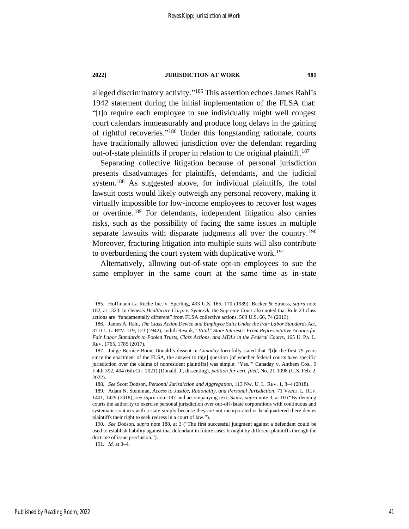alleged discriminatory activity." <sup>185</sup> This assertion echoes James Rahl's 1942 statement during the initial implementation of the FLSA that: "[t]o require each employee to sue individually might well congest court calendars immeasurably and produce long delays in the gaining of rightful recoveries." <sup>186</sup> Under this longstanding rationale, courts have traditionally allowed jurisdiction over the defendant regarding out-of-state plaintiffs if proper in relation to the original plaintiff.<sup>187</sup>

<span id="page-41-1"></span><span id="page-41-0"></span>Separating collective litigation because of personal jurisdiction presents disadvantages for plaintiffs, defendants, and the judicial system.<sup>188</sup> As suggested above, for individual plaintiffs, the total lawsuit costs would likely outweigh any personal recovery, making it virtually impossible for low-income employees to recover lost wages or overtime.<sup>189</sup> For defendants, independent litigation also carries risks, such as the possibility of facing the same issues in multiple separate lawsuits with disparate judgments all over the country.<sup>190</sup> Moreover, fracturing litigation into multiple suits will also contribute to overburdening the court system with duplicative work.<sup>191</sup>

Alternatively, allowing out-of-state opt-in employees to sue the same employer in the same court at the same time as in-state

41

<sup>185.</sup> Hoffmann-La Roche Inc. v. Sperling, 493 U.S. 165, 170 (1989); Becker & Strauss, *supra* note [182,](#page-40-0) at 1323. In *Genesis Healthcare Corp. v. Symczyk*, the Supreme Court also noted that Rule 23 class actions are "fundamentally different" from FLSA collective actions. 569 U.S. 66, 74 (2013).

<sup>186.</sup> James A. Rahl, *The Class Action Device and Employee Suits Under the Fair Labor Standards Act*, 37 ILL. L. REV. 119, 123 (1942); Judith Resnik, *"Vital" State Interests: From Representative Actions for Fair Labor Standards to Pooled Trusts, Class Actions, and MDLs in the Federal Courts*, 165 U. PA. L. REV. 1765, 1785 (2017).

<sup>187.</sup> Judge Bernice Bouie Donald's dissent in *Canaday* forcefully stated that "[i]n the first 79 years since the enactment of the FLSA, the answer to th[e] question [of whether federal courts have specific jurisdiction over the claims of nonresident plaintiffs] was simple: 'Yes.'" Canaday v. Anthem Cos., 9 F.4th 392, 404 (6th Cir. 2021) (Donald, J., dissenting), *petition for cert. filed*, No. 21-1098 (U.S. Feb. 2, 2022).

<sup>188</sup>*. See* Scott Dodson, *Personal Jurisdiction and Aggregation*, 113 NW. U. L. REV. 1, 3–4 (2018).

<sup>189.</sup> Adam N. Steinman, *Access to Justice, Rationality, and Personal Jurisdiction*, 71 VAND. L. REV. 1401, 1429 (2018); *see supra* not[e 187](#page-41-0) and accompanying text; Sainz, *supra* not[e 3,](#page-4-0) at 10 ("By denying courts the authority to exercise personal jurisdiction over out-of[-]state corporations with continuous and systematic contacts with a state simply because they are not incorporated or headquartered there denies plaintiffs their right to seek redress in a court of law.").

<sup>190</sup>*. See* Dodson, *supra* note [188,](#page-41-1) at 3 ("The first successful judgment against a defendant could be used to establish liability against that defendant in future cases brought by different plaintiffs through the doctrine of issue preclusion.").

<sup>191</sup>*. Id.* at 3–4.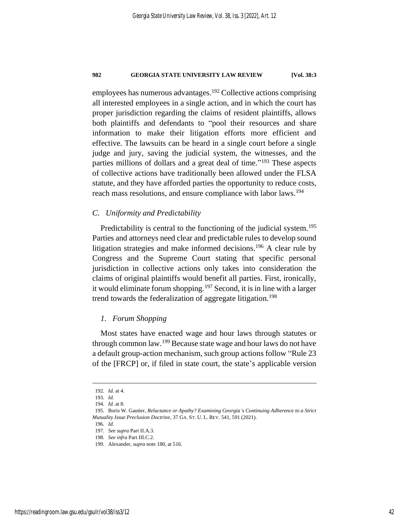employees has numerous advantages.<sup>192</sup> Collective actions comprising all interested employees in a single action, and in which the court has proper jurisdiction regarding the claims of resident plaintiffs, allows both plaintiffs and defendants to "pool their resources and share information to make their litigation efforts more efficient and effective. The lawsuits can be heard in a single court before a single judge and jury, saving the judicial system, the witnesses, and the parties millions of dollars and a great deal of time."<sup>193</sup> These aspects of collective actions have traditionally been allowed under the FLSA statute, and they have afforded parties the opportunity to reduce costs, reach mass resolutions, and ensure compliance with labor laws.<sup>194</sup>

### *C. Uniformity and Predictability*

Predictability is central to the functioning of the judicial system.<sup>195</sup> Parties and attorneys need clear and predictable rules to develop sound litigation strategies and make informed decisions.<sup>196</sup> A clear rule by Congress and the Supreme Court stating that specific personal jurisdiction in collective actions only takes into consideration the claims of original plaintiffs would benefit all parties. First, ironically, it would eliminate forum shopping.<sup>197</sup> Second, it is in line with a larger trend towards the federalization of aggregate litigation.<sup>198</sup>

### *1. Forum Shopping*

Most states have enacted wage and hour laws through statutes or through common law.<sup>199</sup> Because state wage and hour laws do not have a default group-action mechanism, such group actions follow "Rule 23 of the [FRCP] or, if filed in state court, the state's applicable version

196*. Id.*

<sup>192</sup>*. Id.* at 4.

<sup>193</sup>*. Id.*

<sup>194</sup>*. Id.* at 8.

<sup>195.</sup> Boris W. Gautier, *Reluctance or Apathy? Examining Georgia's Continuing Adherence to a Strict Mutuality Issue Preclusion Doctrine*, 37 GA. ST. U. L. REV. 541, 591 (2021).

<sup>197</sup>*. See supra* Part II.A.3.

<sup>198</sup>*. See infra* Part III.C.2.

<sup>199.</sup> Alexander, *supra* not[e 180,](#page-39-1) at 516.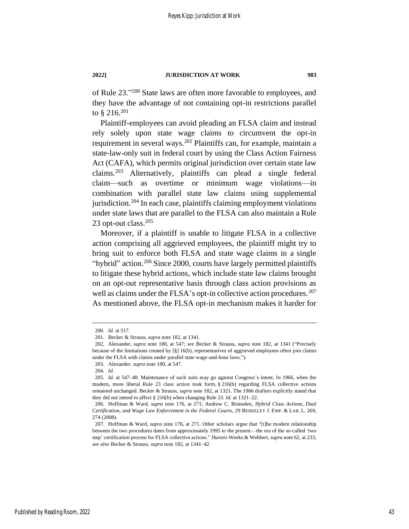of Rule 23." <sup>200</sup> State laws are often more favorable to employees, and they have the advantage of not containing opt-in restrictions parallel to § 216.<sup>201</sup>

Plaintiff-employees can avoid pleading an FLSA claim and instead rely solely upon state wage claims to circumvent the opt-in requirement in several ways.<sup>202</sup> Plaintiffs can, for example, maintain a state-law-only suit in federal court by using the Class Action Fairness Act (CAFA), which permits original jurisdiction over certain state law claims.<sup>203</sup> Alternatively, plaintiffs can plead a single federal claim—such as overtime or minimum wage violations—in combination with parallel state law claims using supplemental jurisdiction.<sup>204</sup> In each case, plaintiffs claiming employment violations under state laws that are parallel to the FLSA can also maintain a Rule 23 opt-out class.<sup>205</sup>

<span id="page-43-0"></span>Moreover, if a plaintiff is unable to litigate FLSA in a collective action comprising all aggrieved employees, the plaintiff might try to bring suit to enforce both FLSA and state wage claims in a single "hybrid" action.<sup>206</sup> Since 2000, courts have largely permitted plaintiffs to litigate these hybrid actions, which include state law claims brought on an opt-out representative basis through class action provisions as well as claims under the FLSA's opt-in collective action procedures.<sup>207</sup> As mentioned above, the FLSA opt-in mechanism makes it harder for

<sup>200</sup>*. Id.* at 517.

<sup>201.</sup> Becker & Strauss, *supra* note [182,](#page-40-0) at 1341.

<sup>202.</sup> Alexander, *supra* note [180,](#page-39-1) at 547; *see* Becker & Strauss, *supra* note [182,](#page-40-0) at 1341 ("Precisely because of the limitations created by [§] 16(b), representatives of aggrieved employees often join claims under the FLSA with claims under parallel state wage-and-hour laws.").

<sup>203.</sup> Alexander, *supra* not[e 180,](#page-39-1) at 547.

<sup>204</sup>*. Id.*

<sup>205</sup>*. Id.* at 547–48. Maintenance of such suits may go against Congress's intent. In 1966, when the modern, more liberal Rule 23 class action took form, § 216(b) regarding FLSA collective actions remained unchanged. Becker & Strauss, *supra* not[e 182,](#page-40-0) at 1321. The 1966 drafters explicitly stated that they did not intend to affect § 216(b) when changing Rule 23. *Id.* at 1321–22.

<sup>206.</sup> Hoffman & Ward, *supra* note [176,](#page-39-0) at 271; Andrew C. Brunsden, *Hybrid Class Actions, Dual Certification, and Wage Law Enforcement in the Federal Courts*, 29 BERKELEY J. EMP. & LAB. L. 269, 274 (2008).

<sup>207.</sup> Hoffman & Ward, *supra* note [176,](#page-39-0) at 271. Other scholars argue that "[t]he modern relationship between the two procedures dates from approximately 1995 to the present—the era of the so-called 'two step' certification process for FLSA collective actions." Jhaveri-Weeks & Webbert, *supra* not[e 62,](#page-17-0) at 233; *see also* Becker & Strauss, *supra* note [182,](#page-40-0) at 1341–42.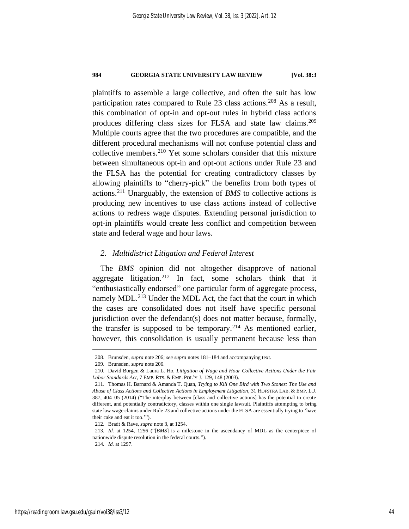plaintiffs to assemble a large collective, and often the suit has low participation rates compared to Rule 23 class actions.<sup>208</sup> As a result, this combination of opt-in and opt-out rules in hybrid class actions produces differing class sizes for FLSA and state law claims.<sup>209</sup> Multiple courts agree that the two procedures are compatible, and the different procedural mechanisms will not confuse potential class and collective members.<sup>210</sup> Yet some scholars consider that this mixture between simultaneous opt-in and opt-out actions under Rule 23 and the FLSA has the potential for creating contradictory classes by allowing plaintiffs to "cherry-pick" the benefits from both types of actions.<sup>211</sup> Unarguably, the extension of *BMS* to collective actions is producing new incentives to use class actions instead of collective actions to redress wage disputes. Extending personal jurisdiction to opt-in plaintiffs would create less conflict and competition between state and federal wage and hour laws.

### *2. Multidistrict Litigation and Federal Interest*

The *BMS* opinion did not altogether disapprove of national aggregate litigation.<sup>212</sup> In fact, some scholars think that it "enthusiastically endorsed" one particular form of aggregate process, namely MDL.<sup>213</sup> Under the MDL Act, the fact that the court in which the cases are consolidated does not itself have specific personal jurisdiction over the defendant(s) does not matter because, formally, the transfer is supposed to be temporary.<sup>214</sup> As mentioned earlier, however, this consolidation is usually permanent because less than

<sup>208.</sup> Brunsden, *supra* not[e 206;](#page-43-0) *see supra* note[s 181](#page-39-2)[–184](#page-40-1) and accompanying text.

<sup>209.</sup> Brunsden, *supra* not[e 206.](#page-43-0)

<sup>210.</sup> David Borgen & Laura L. Ho, *Litigation of Wage and Hour Collective Actions Under the Fair Labor Standards Act*, 7 EMP. RTS. & EMP. POL'Y J. 129, 148 (2003).

<sup>211.</sup> Thomas H. Barnard & Amanda T. Quan, *Trying to Kill One Bird with Two Stones: The Use and Abuse of Class Actions and Collective Actions in Employment Litigation*, 31 HOFSTRA LAB. & EMP. L.J. 387, 404–05 (2014) ("The interplay between [class and collective actions] has the potential to create different, and potentially contradictory, classes within one single lawsuit. Plaintiffs attempting to bring state law wage claims under Rule 23 and collective actions under the FLSA are essentially trying to 'have their cake and eat it too.'").

<sup>212.</sup> Bradt & Rave, *supra* not[e 3,](#page-4-0) at 1254.

<sup>213</sup>*. Id.* at 1254, 1256 ("[*BMS*] is a milestone in the ascendancy of MDL as the centerpiece of nationwide dispute resolution in the federal courts.").

<sup>214</sup>*. Id.* at 1297.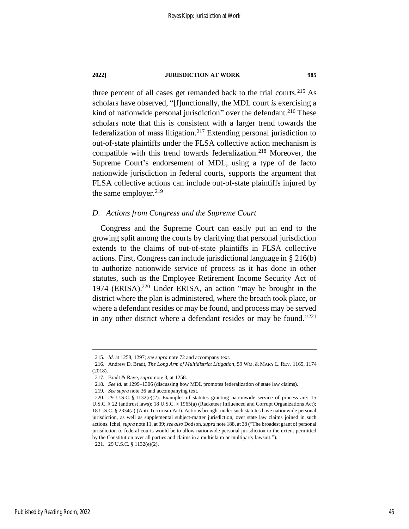three percent of all cases get remanded back to the trial courts.<sup>215</sup> As scholars have observed, "[f]unctionally, the MDL court *is* exercising a kind of nationwide personal jurisdiction" over the defendant.<sup>216</sup> These scholars note that this is consistent with a larger trend towards the federalization of mass litigation.<sup>217</sup> Extending personal jurisdiction to out-of-state plaintiffs under the FLSA collective action mechanism is compatible with this trend towards federalization.<sup>218</sup> Moreover, the Supreme Court's endorsement of MDL, using a type of de facto nationwide jurisdiction in federal courts, supports the argument that FLSA collective actions can include out-of-state plaintiffs injured by the same employer. $219$ 

### *D. Actions from Congress and the Supreme Court*

Congress and the Supreme Court can easily put an end to the growing split among the courts by clarifying that personal jurisdiction extends to the claims of out-of-state plaintiffs in FLSA collective actions. First, Congress can include jurisdictional language in § 216(b) to authorize nationwide service of process as it has done in other statutes, such as the Employee Retirement Income Security Act of 1974 (ERISA).<sup>220</sup> Under ERISA, an action "may be brought in the district where the plan is administered, where the breach took place, or where a defendant resides or may be found, and process may be served in any other district where a defendant resides or may be found."<sup>221</sup>

<sup>215</sup>*. Id.* at 1258, 1297; *see supra* note [72](#page-19-1) and accompany text.

<sup>216.</sup> Andrew D. Bradt, *The Long Arm of Multidistrict Litigation*, 59 WM. & MARY L. REV. 1165, 1174 (2018).

<sup>217.</sup> Bradt & Rave, *supra* not[e 3,](#page-4-0) at 1258.

<sup>218</sup>*. See id.* at 1299–1306 (discussing how MDL promotes federalization of state law claims).

<sup>219</sup>*. See supra* note [36](#page-12-1) and accompanying text.

<sup>220.</sup> 29 U.S.C. § 1132(e)(2). Examples of statutes granting nationwide service of process are: 15 U.S.C. § 22 (antitrust laws); 18 U.S.C. § 1965(a) (Racketeer Influenced and Corrupt Organizations Act); 18 U.S.C. § 2334(a) (Anti-Terrorism Act). Actions brought under such statutes have nationwide personal jurisdiction, as well as supplemental subject-matter jurisdiction, over state law claims joined in such actions. Ichel, *supra* not[e 11,](#page-6-0) at 39; *see also* Dodson, *supra* not[e 188,](#page-41-1) at 38 ("The broadest grant of personal jurisdiction to federal courts would be to allow nationwide personal jurisdiction to the extent permitted by the Constitution over all parties and claims in a multiclaim or multiparty lawsuit."). 221. 29 U.S.C. § 1132(e)(2).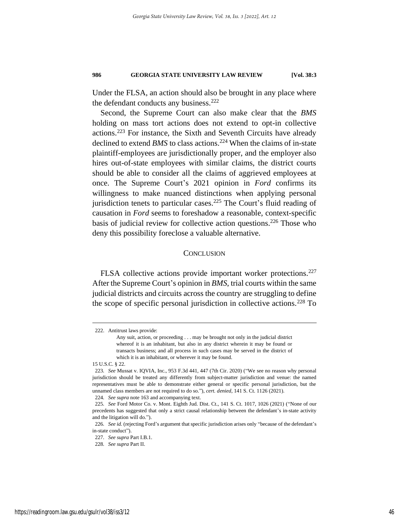Under the FLSA, an action should also be brought in any place where the defendant conducts any business.<sup>222</sup>

Second, the Supreme Court can also make clear that the *BMS* holding on mass tort actions does not extend to opt-in collective actions.<sup>223</sup> For instance, the Sixth and Seventh Circuits have already declined to extend *BMS* to class actions.<sup>224</sup> When the claims of in-state plaintiff-employees are jurisdictionally proper, and the employer also hires out-of-state employees with similar claims, the district courts should be able to consider all the claims of aggrieved employees at once. The Supreme Court's 2021 opinion in *Ford* confirms its willingness to make nuanced distinctions when applying personal jurisdiction tenets to particular cases.<sup>225</sup> The Court's fluid reading of causation in *Ford* seems to foreshadow a reasonable, context-specific basis of judicial review for collective action questions. <sup>226</sup> Those who deny this possibility foreclose a valuable alternative.

### **CONCLUSION**

FLSA collective actions provide important worker protections.<sup>227</sup> After the Supreme Court's opinion in *BMS*, trial courts within the same judicial districts and circuits across the country are struggling to define the scope of specific personal jurisdiction in collective actions.<sup>228</sup> To

<sup>222.</sup> Antitrust laws provide:

Any suit, action, or proceeding . . . may be brought not only in the judicial district whereof it is an inhabitant, but also in any district wherein it may be found or transacts business; and all process in such cases may be served in the district of which it is an inhabitant, or wherever it may be found.

<sup>15</sup> U.S.C. § 22.

<sup>223</sup>*. See* Mussat v. IQVIA, Inc., 953 F.3d 441, 447 (7th Cir. 2020) ("We see no reason why personal jurisdiction should be treated any differently from subject-matter jurisdiction and venue: the named representatives must be able to demonstrate either general or specific personal jurisdiction, but the unnamed class members are not required to do so."), *cert. denied*, 141 S. Ct. 1126 (2021).

<sup>224</sup>*. See supra* note [163](#page-36-0) and accompanying text.

<sup>225</sup>*. See* Ford Motor Co. v. Mont. Eighth Jud. Dist. Ct., 141 S. Ct. 1017, 1026 (2021) ("None of our precedents has suggested that only a strict causal relationship between the defendant's in-state activity and the litigation will do.").

<sup>226</sup>*. See id.* (rejecting Ford's argument that specific jurisdiction arises only "because of the defendant's in-state conduct").

<sup>227</sup>*. See supra* Part I.B.1.

<sup>228</sup>*. See supra* Part II.